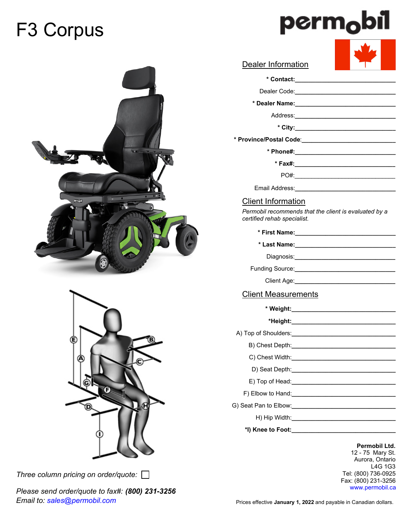# F3 Corpus







*Three column pricing on order/quote:* 

*Please send order/quote to fax#: (800) 231-3256 Email to: sales@permobil.com*

| Dealer Information                                  |                                          |
|-----------------------------------------------------|------------------------------------------|
|                                                     |                                          |
| Dealer Code: <u>_______________________________</u> |                                          |
|                                                     |                                          |
|                                                     |                                          |
|                                                     |                                          |
|                                                     |                                          |
|                                                     | * Phone#:_______________________________ |
|                                                     |                                          |
|                                                     |                                          |
| Email Address:                                      |                                          |

## Client Information

*Permobil recommends that the client is evaluated by a certified rehab specialist.*

| * First Name:_________________________________ |  |
|------------------------------------------------|--|
|                                                |  |
|                                                |  |
|                                                |  |
|                                                |  |
| <b>Client Measurements</b>                     |  |
|                                                |  |
|                                                |  |
|                                                |  |
|                                                |  |
|                                                |  |
|                                                |  |
|                                                |  |
|                                                |  |
|                                                |  |
|                                                |  |

H) Hip Width:**\_\_\_\_\_\_\_\_\_\_\_\_\_\_\_\_\_\_\_\_\_\_\_\_\_\_\_\_\_\_\_**

**\*I) Knee to Foot:\_\_\_\_\_\_\_\_\_\_\_\_\_\_\_\_\_\_\_\_\_\_\_\_\_\_\_\_\_\_\_**

**Permobil Ltd.** 12 - 75 Mary St. Aurora, Ontario L4G 1G3 Tel: (800) 736-0925 Fax: (800) 231-3256 www.permobil.ca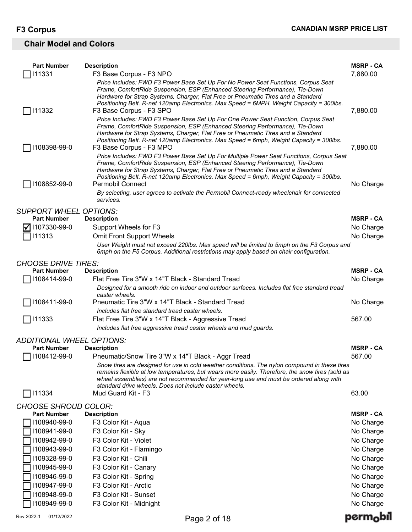## **Chair Model and Colors**

| <b>Part Number</b>                          | <b>Description</b>                                                                                                                                                                               | <b>MSRP-CA</b>                |
|---------------------------------------------|--------------------------------------------------------------------------------------------------------------------------------------------------------------------------------------------------|-------------------------------|
| 111331                                      | F3 Base Corpus - F3 NPO                                                                                                                                                                          | 7,880.00                      |
|                                             | Price Includes: FWD F3 Power Base Set Up For No Power Seat Functions, Corpus Seat<br>Frame, ComfortRide Suspension, ESP (Enhanced Steering Performance), Tie-Down                                |                               |
|                                             | Hardware for Strap Systems, Charger, Flat Free or Pneumatic Tires and a Standard                                                                                                                 |                               |
| 111332                                      | Positioning Belt. R-net 120amp Electronics. Max Speed = 6MPH, Weight Capacity = 300lbs.<br>F3 Base Corpus - F3 SPO                                                                               | 7,880.00                      |
|                                             | Price Includes: FWD F3 Power Base Set Up For One Power Seat Function, Corpus Seat                                                                                                                |                               |
|                                             | Frame, ComfortRide Suspension, ESP (Enhanced Steering Performance), Tie-Down                                                                                                                     |                               |
|                                             | Hardware for Strap Systems, Charger, Flat Free or Pneumatic Tires and a Standard<br>Positioning Belt. R-net 120amp Electronics. Max Speed = 6mph, Weight Capacity = 300lbs.                      |                               |
| 1108398-99-0                                | F3 Base Corpus - F3 MPO                                                                                                                                                                          | 7,880.00                      |
|                                             | Price Includes: FWD F3 Power Base Set Up For Multiple Power Seat Functions, Corpus Seat<br>Frame, ComfortRide Suspension, ESP (Enhanced Steering Performance), Tie-Down                          |                               |
|                                             | Hardware for Strap Systems, Charger, Flat Free or Pneumatic Tires and a Standard                                                                                                                 |                               |
| 1108852-99-0                                | Positioning Belt. R-net 120amp Electronics. Max Speed = 6mph, Weight Capacity = 300lbs.<br><b>Permobil Connect</b>                                                                               | No Charge                     |
|                                             | By selecting, user agrees to activate the Permobil Connect-ready wheelchair for connected                                                                                                        |                               |
|                                             | services.                                                                                                                                                                                        |                               |
| <b>SUPPORT WHEEL OPTIONS:</b>               |                                                                                                                                                                                                  |                               |
| <b>Part Number</b><br>$\nabla$ 1107330-99-0 | <b>Description</b><br>Support Wheels for F3                                                                                                                                                      | <b>MSRP - CA</b>              |
| 111313                                      | <b>Omit Front Support Wheels</b>                                                                                                                                                                 | No Charge<br>No Charge        |
|                                             | User Weight must not exceed 220lbs. Max speed will be limited to 5mph on the F3 Corpus and                                                                                                       |                               |
|                                             | 6mph on the F5 Corpus. Additional restrictions may apply based on chair configuration.                                                                                                           |                               |
| <b>CHOOSE DRIVE TIRES:</b>                  |                                                                                                                                                                                                  |                               |
| <b>Part Number</b><br>1108414-99-0          | <b>Description</b><br>Flat Free Tire 3"W x 14"T Black - Standard Tread                                                                                                                           | <b>MSRP - CA</b><br>No Charge |
|                                             | Designed for a smooth ride on indoor and outdoor surfaces. Includes flat free standard tread                                                                                                     |                               |
|                                             | caster wheels.                                                                                                                                                                                   |                               |
| 1108411-99-0                                | Pneumatic Tire 3"W x 14"T Black - Standard Tread<br>Includes flat free standard tread caster wheels.                                                                                             | No Charge                     |
| 111333                                      | Flat Free Tire 3"W x 14"T Black - Aggressive Tread                                                                                                                                               | 567.00                        |
|                                             | Includes flat free aggressive tread caster wheels and mud guards.                                                                                                                                |                               |
| <b>ADDITIONAL WHEEL OPTIONS:</b>            |                                                                                                                                                                                                  |                               |
| <b>Part Number</b>                          | <b>Description</b>                                                                                                                                                                               | <b>MSRP-CA</b>                |
| 1108412-99-0                                | Pneumatic/Snow Tire 3"W x 14"T Black - Aggr Tread                                                                                                                                                | 567.00                        |
|                                             | Snow tires are designed for use in cold weather conditions. The nylon compound in these tires<br>remains flexible at low temperatures, but wears more easily. Therefore, the snow tires (sold as |                               |
|                                             | wheel assemblies) are not recommended for year-long use and must be ordered along with                                                                                                           |                               |
| 111334                                      | standard drive wheels. Does not include caster wheels.<br>Mud Guard Kit - F3                                                                                                                     | 63.00                         |
| <b>CHOOSE SHROUD COLOR:</b>                 |                                                                                                                                                                                                  |                               |
| <b>Part Number</b>                          | <b>Description</b>                                                                                                                                                                               | <b>MSRP - CA</b>              |
| 1108940-99-0                                | F3 Color Kit - Aqua                                                                                                                                                                              | No Charge                     |
| 1108941-99-0                                | F3 Color Kit - Sky                                                                                                                                                                               | No Charge                     |
| 1108942-99-0                                | F3 Color Kit - Violet                                                                                                                                                                            | No Charge                     |
| 1108943-99-0<br>1109328-99-0                | F3 Color Kit - Flamingo<br>F3 Color Kit - Chili                                                                                                                                                  | No Charge<br>No Charge        |
| 1108945-99-0                                | F3 Color Kit - Canary                                                                                                                                                                            | No Charge                     |
| 1108946-99-0                                | F3 Color Kit - Spring                                                                                                                                                                            | No Charge                     |
| 1108947-99-0                                | F3 Color Kit - Arctic                                                                                                                                                                            | No Charge                     |
| 1108948-99-0                                | F3 Color Kit - Sunset                                                                                                                                                                            | No Charge                     |
| 1108949-99-0                                | F3 Color Kit - Midnight                                                                                                                                                                          | No Charge                     |
|                                             |                                                                                                                                                                                                  |                               |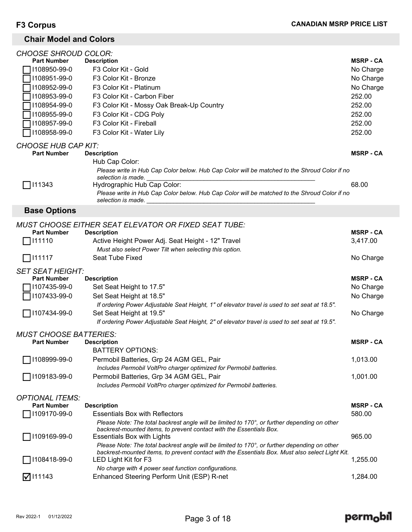## **Chair Model and Colors**

| <b>CHOOSE SHROUD COLOR:</b>   |                                                                                                                    |                  |
|-------------------------------|--------------------------------------------------------------------------------------------------------------------|------------------|
| <b>Part Number</b>            | <b>Description</b>                                                                                                 | <b>MSRP - CA</b> |
| 1108950-99-0                  | F3 Color Kit - Gold                                                                                                | No Charge        |
| 1108951-99-0                  | F3 Color Kit - Bronze                                                                                              | No Charge        |
| 1108952-99-0                  | F3 Color Kit - Platinum                                                                                            | No Charge        |
| 1108953-99-0                  | F3 Color Kit - Carbon Fiber                                                                                        | 252.00           |
| 1108954-99-0                  | F3 Color Kit - Mossy Oak Break-Up Country                                                                          | 252.00           |
| 1108955-99-0                  | F3 Color Kit - CDG Poly                                                                                            | 252.00           |
| 1108957-99-0                  | F3 Color Kit - Fireball                                                                                            | 252.00           |
| 1108958-99-0                  | F3 Color Kit - Water Lily                                                                                          | 252.00           |
| <b>CHOOSE HUB CAP KIT:</b>    |                                                                                                                    |                  |
| <b>Part Number</b>            | <b>Description</b>                                                                                                 | <b>MSRP - CA</b> |
|                               | Hub Cap Color:                                                                                                     |                  |
|                               | Please write in Hub Cap Color below. Hub Cap Color will be matched to the Shroud Color if no<br>selection is made. |                  |
| 111343                        | Hydrographic Hub Cap Color:                                                                                        | 68.00            |
|                               | Please write in Hub Cap Color below. Hub Cap Color will be matched to the Shroud Color if no<br>selection is made. |                  |
| <b>Base Options</b>           |                                                                                                                    |                  |
|                               | <b>MUST CHOOSE EITHER SEAT ELEVATOR OR FIXED SEAT TUBE:</b>                                                        |                  |
| <b>Part Number</b>            | <b>Description</b>                                                                                                 | <b>MSRP - CA</b> |
| 111110                        | Active Height Power Adj. Seat Height - 12" Travel                                                                  | 3,417.00         |
|                               | Must also select Power Tilt when selecting this option.                                                            |                  |
| 111117                        | Seat Tube Fixed                                                                                                    | No Charge        |
|                               |                                                                                                                    |                  |
| <b>SET SEAT HEIGHT:</b>       |                                                                                                                    |                  |
| <b>Part Number</b>            | <b>Description</b>                                                                                                 | <b>MSRP - CA</b> |
| 1107435-99-0                  | Set Seat Height to 17.5"                                                                                           | No Charge        |
| 1107433-99-0                  | Set Seat Height at 18.5"                                                                                           | No Charge        |
|                               | If ordering Power Adjustable Seat Height, 1" of elevator travel is used to set seat at 18.5".                      |                  |
| 1107434-99-0                  | Set Seat Height at 19.5"                                                                                           | No Charge        |
|                               | If ordering Power Adjustable Seat Height, 2" of elevator travel is used to set seat at 19.5".                      |                  |
| <b>MUST CHOOSE BATTERIES:</b> |                                                                                                                    |                  |
| <b>Part Number</b>            | <b>Description</b>                                                                                                 | <b>MSRP - CA</b> |
|                               | <b>BATTERY OPTIONS:</b>                                                                                            |                  |
| 1108999-99-0                  | Permobil Batteries, Grp 24 AGM GEL, Pair                                                                           | 1,013.00         |
|                               | Includes Permobil VoltPro charger optimized for Permobil batteries.                                                |                  |
| 1109183-99-0                  | Permobil Batteries, Grp 34 AGM GEL, Pair                                                                           | 1,001.00         |
|                               | Includes Permobil VoltPro charger optimized for Permobil batteries.                                                |                  |
| <b>OPTIONAL ITEMS:</b>        |                                                                                                                    |                  |
| <b>Part Number</b>            | <b>Description</b>                                                                                                 | <b>MSRP - CA</b> |
| 1109170-99-0                  | <b>Essentials Box with Reflectors</b>                                                                              | 580.00           |
|                               | Please Note: The total backrest angle will be limited to 170°, or further depending on other                       |                  |
| 1109169-99-0                  | backrest-mounted items, to prevent contact with the Essentials Box.<br><b>Essentials Box with Lights</b>           | 965.00           |
|                               | Please Note: The total backrest angle will be limited to 170°, or further depending on other                       |                  |
|                               | backrest-mounted items, to prevent contact with the Essentials Box. Must also select Light Kit.                    |                  |
| 1108418-99-0                  | LED Light Kit for F3                                                                                               | 1,255.00         |
| $\nabla$ 111143               | No charge with 4 power seat function configurations.<br>Enhanced Steering Perform Unit (ESP) R-net                 | 1,284.00         |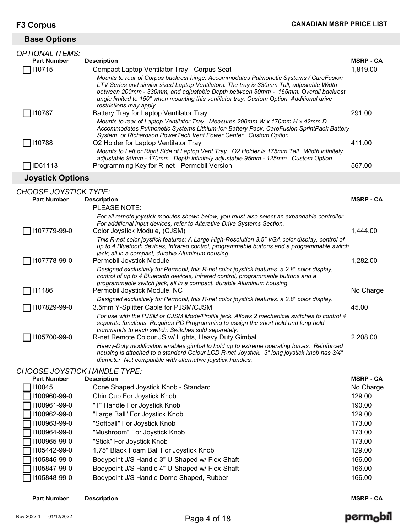## **Base Options**

| <b>OPTIONAL ITEMS:</b>  |                                                                                                                                                                                                                                                                                                                                                                                                  |                  |
|-------------------------|--------------------------------------------------------------------------------------------------------------------------------------------------------------------------------------------------------------------------------------------------------------------------------------------------------------------------------------------------------------------------------------------------|------------------|
| <b>Part Number</b>      | <b>Description</b>                                                                                                                                                                                                                                                                                                                                                                               | <b>MSRP - CA</b> |
| □ 110715                | Compact Laptop Ventilator Tray - Corpus Seat                                                                                                                                                                                                                                                                                                                                                     | 1,819.00         |
|                         | Mounts to rear of Corpus backrest hinge. Accommodates Pulmonetic Systems / CareFusion<br>LTV Series and similar sized Laptop Ventilators. The tray is 330mm Tall, adjustable Width<br>between 200mm - 330mm, and adjustable Depth between 50mm - 165mm. Overall backrest<br>angle limited to 150° when mounting this ventilator tray. Custom Option. Additional drive<br>restrictions may apply. |                  |
| 10787                   | Battery Tray for Laptop Ventilator Tray                                                                                                                                                                                                                                                                                                                                                          | 291.00           |
|                         | Mounts to rear of Laptop Ventilator Tray. Measures 290mm W x 170mm H x 42mm D.<br>Accommodates Pulmonetic Systems Lithium-Ion Battery Pack, CareFusion SprintPack Battery<br>System, or Richardson PowerTech Vent Power Center. Custom Option.                                                                                                                                                   |                  |
| □ 110788                | O2 Holder for Laptop Ventilator Tray                                                                                                                                                                                                                                                                                                                                                             | 411.00           |
|                         | Mounts to Left or Right Side of Laptop Vent Tray. O2 Holder is 175mm Tall. Width infinitely<br>adjustable 90mm - 170mm. Depth infinitely adjustable 95mm - 125mm. Custom Option.                                                                                                                                                                                                                 |                  |
| ID51113                 | Programming Key for R-net - Permobil Version                                                                                                                                                                                                                                                                                                                                                     | 567.00           |
| <b>Joystick Options</b> |                                                                                                                                                                                                                                                                                                                                                                                                  |                  |

## *CHOOSE JOYSTICK TYPE:*

| <b>Part Number</b> | <b>Description</b>                                                                                                                                                                                                                                          | <b>MSRP - CA</b> |
|--------------------|-------------------------------------------------------------------------------------------------------------------------------------------------------------------------------------------------------------------------------------------------------------|------------------|
|                    | PLEASE NOTE:                                                                                                                                                                                                                                                |                  |
| 1107779-99-0       | For all remote joystick modules shown below, you must also select an expandable controller.<br>For additional input devices, refer to Alterative Drive Systems Section.<br>Color Joystick Module, (CJSM)                                                    | 1,444.00         |
|                    | This R-net color joystick features: A Large High-Resolution 3.5" VGA color display, control of<br>up to 4 Bluetooth devices, Infrared control, programmable buttons and a programmable switch<br>jack; all in a compact, durable Aluminum housing.          |                  |
| 1107778-99-0       | Permobil Joystick Module                                                                                                                                                                                                                                    | 1,282.00         |
|                    | Designed exclusively for Permobil, this R-net color joystick features: a 2.8" color display,<br>control of up to 4 Bluetooth devices, Infrared control, programmable buttons and a<br>programmable switch jack; all in a compact, durable Aluminum housing. |                  |
| 111186             | Permobil Joystick Module, NC                                                                                                                                                                                                                                | No Charge        |
|                    | Designed exclusively for Permobil, this R-net color joystick features: a 2.8" color display.                                                                                                                                                                |                  |
| 1107829-99-0       | 3.5mm Y-Splitter Cable for PJSM/CJSM                                                                                                                                                                                                                        | 45.00            |
|                    | For use with the PJSM or CJSM Mode/Profile jack. Allows 2 mechanical switches to control 4<br>separate functions. Requires PC Programming to assign the short hold and long hold<br>commands to each switch. Switches sold separately.                      |                  |
| 1105700-99-0       | R-net Remote Colour JS w/ Lights, Heavy Duty Gimbal                                                                                                                                                                                                         | 2,208.00         |
|                    | Heavy-Duty modification enables gimbal to hold up to extreme operating forces. Reinforced<br>housing is attached to a standard Colour LCD R-net Joystick. 3" long joystick knob has 3/4"<br>diameter. Not compatible with alternative joystick handles.     |                  |

## *CHOOSE JOYSTICK HANDLE TYPE:*

| <b>Part Number</b> | <b>Description</b>                             | <b>MSRP-CA</b> |
|--------------------|------------------------------------------------|----------------|
| 110045             | Cone Shaped Joystick Knob - Standard           | No Charge      |
| 1100960-99-0       | Chin Cup For Joystick Knob                     | 129.00         |
| 1100961-99-0       | "T" Handle For Joystick Knob                   | 190.00         |
| 1100962-99-0       | "Large Ball" For Joystick Knob                 | 129.00         |
| 1100963-99-0       | "Softball" For Joystick Knob                   | 173.00         |
| 1100964-99-0       | "Mushroom" For Joystick Knob                   | 173.00         |
| 1100965-99-0       | "Stick" For Joystick Knob                      | 173.00         |
| 1105442-99-0       | 1.75" Black Foam Ball For Joystick Knob        | 129.00         |
| 1105846-99-0       | Bodypoint J/S Handle 3" U-Shaped w/ Flex-Shaft | 166.00         |
| 1105847-99-0       | Bodypoint J/S Handle 4" U-Shaped w/ Flex-Shaft | 166.00         |
| 1105848-99-0       | Bodypoint J/S Handle Dome Shaped, Rubber       | 166.00         |

**Part Number Description MSRP - CA**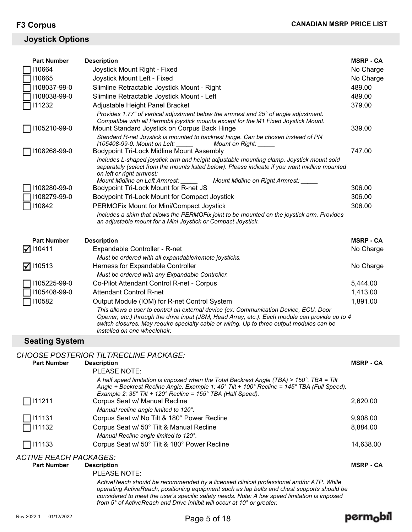## **Joystick Options**

| <b>Part Number</b>    | <b>Description</b>                                                                                                                                                                                                                                                                                                                                                   | <b>MSRP - CA</b> |
|-----------------------|----------------------------------------------------------------------------------------------------------------------------------------------------------------------------------------------------------------------------------------------------------------------------------------------------------------------------------------------------------------------|------------------|
| 110664                | Joystick Mount Right - Fixed                                                                                                                                                                                                                                                                                                                                         | No Charge        |
| 110665                | Joystick Mount Left - Fixed                                                                                                                                                                                                                                                                                                                                          | No Charge        |
| 1108037-99-0          | Slimline Retractable Joystick Mount - Right                                                                                                                                                                                                                                                                                                                          | 489.00           |
| 1108038-99-0          | Slimline Retractable Joystick Mount - Left                                                                                                                                                                                                                                                                                                                           | 489.00           |
| 111232                | Adjustable Height Panel Bracket                                                                                                                                                                                                                                                                                                                                      | 379.00           |
| 1105210-99-0          | Provides 1.77" of vertical adjustment below the armrest and 25° of angle adjustment.<br>Compatible with all Permobil joystick mounts except for the M1 Fixed Joystick Mount.<br>Mount Standard Joystick on Corpus Back Hinge<br>Standard R-net Joystick is mounted to backrest hinge. Can be chosen instead of PN<br>1105408-99-0. Mount on Left:<br>Mount on Right: | 339.00           |
| 1108268-99-0          | <b>Bodypoint Tri-Lock Midline Mount Assembly</b>                                                                                                                                                                                                                                                                                                                     | 747.00           |
|                       | Includes L-shaped joystick arm and height adjustable mounting clamp. Joystick mount sold<br>separately (select from the mounts listed below). Please indicate if you want midline mounted<br>on left or right armrest:<br>Mount Midline on Left Armrest:<br>Mount Midline on Right Armrest: ____                                                                     |                  |
| 1108280-99-0          | Bodypoint Tri-Lock Mount for R-net JS                                                                                                                                                                                                                                                                                                                                | 306.00           |
| 108279-99-0           | Bodypoint Tri-Lock Mount for Compact Joystick                                                                                                                                                                                                                                                                                                                        | 306.00           |
| 110842                | PERMOFix Mount for Mini/Compact Joystick                                                                                                                                                                                                                                                                                                                             | 306.00           |
|                       | Includes a shim that allows the PERMOFix joint to be mounted on the joystick arm. Provides<br>an adjustable mount for a Mini Joystick or Compact Joystick.                                                                                                                                                                                                           |                  |
| <b>Part Number</b>    | <b>Description</b>                                                                                                                                                                                                                                                                                                                                                   | <b>MSRP - CA</b> |
| $\nabla$ 110411       | Expandable Controller - R-net                                                                                                                                                                                                                                                                                                                                        | No Charge        |
|                       | Must be ordered with all expandable/remote joysticks.                                                                                                                                                                                                                                                                                                                |                  |
| $\nabla$ 110513       | Harness for Expandable Controller                                                                                                                                                                                                                                                                                                                                    | No Charge        |
|                       | Must be ordered with any Expandable Controller.                                                                                                                                                                                                                                                                                                                      |                  |
| 1105225-99-0          | Co-Pilot Attendant Control R-net - Corpus                                                                                                                                                                                                                                                                                                                            | 5,444.00         |
| 1105408-99-0          | <b>Attendant Control R-net</b>                                                                                                                                                                                                                                                                                                                                       | 1,413.00         |
| 110582                | Output Module (IOM) for R-net Control System                                                                                                                                                                                                                                                                                                                         | 1,891.00         |
|                       | This allows a user to control an external device (ex: Communication Device, ECU, Door<br>Opener, etc.) through the drive input (JSM, Head Array, etc.). Each module can provide up to 4<br>switch closures. May require specialty cable or wiring. Up to three output modules can be<br>installed on one wheelchair.                                                 |                  |
| <b>Seating System</b> |                                                                                                                                                                                                                                                                                                                                                                      |                  |

| <b>CHOOSE POSTERIOR TILT/RECLINE PACKAGE:</b> |  |
|-----------------------------------------------|--|

| <b>Part Number</b>     | <b>Description</b>                                                                                                                                                                                                                                                                     | <b>MSRP - CA</b> |
|------------------------|----------------------------------------------------------------------------------------------------------------------------------------------------------------------------------------------------------------------------------------------------------------------------------------|------------------|
|                        | PLEASE NOTE:                                                                                                                                                                                                                                                                           |                  |
|                        | A half speed limitation is imposed when the Total Backrest Angle (TBA) > 150°. TBA = Tilt<br>Angle + Backrest Recline Angle. Example 1: 45° Tilt + 100° Recline = 145° TBA (Full Speed).                                                                                               |                  |
|                        | Example 2: $35^{\circ}$ Tilt + 120° Recline = 155° TBA (Half Speed).                                                                                                                                                                                                                   |                  |
| $\Box$ 111211          | Corpus Seat w/ Manual Recline<br>Manual recline angle limited to 120°.                                                                                                                                                                                                                 | 2,620.00         |
| $\Box$ 111131          | Corpus Seat w/ No Tilt & 180° Power Recline                                                                                                                                                                                                                                            | 9,908.00         |
| $\Box$ 111132          | Corpus Seat w/ 50° Tilt & Manual Recline<br>Manual Recline angle limited to 120°.                                                                                                                                                                                                      | 8,884.00         |
| $\Box$ 111133          | Corpus Seat w/ 50° Tilt & 180° Power Recline                                                                                                                                                                                                                                           | 14,638.00        |
| ACTIVE REACH PACKAGES: |                                                                                                                                                                                                                                                                                        |                  |
| <b>Part Number</b>     | <b>Description</b>                                                                                                                                                                                                                                                                     | <b>MSRP - CA</b> |
|                        | PLEASE NOTE:                                                                                                                                                                                                                                                                           |                  |
|                        | ActiveReach should be recommended by a licensed clinical professional and/or ATP. While<br>operating ActiveReach, positioning equipment such as lap belts and chest supports should be<br>considered to meet the user's specific safety needs. Note: A low speed limitation is imposed |                  |

*from 5° of ActiveReach and Drive inhibit will occur at 10° or greater.*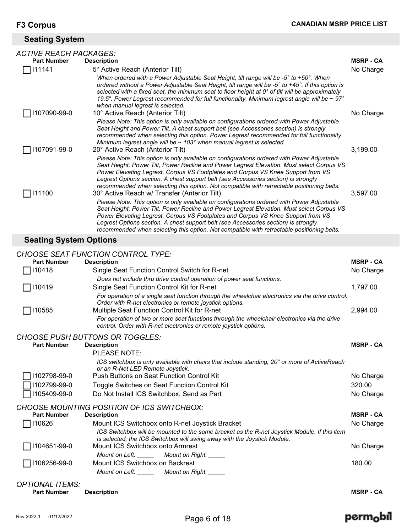## **Seating System**

| <b>ACTIVE REACH PACKAGES:</b> |                                                                                                                                                                                                                                                                                                                                                                                                                                                                                                                  |                  |
|-------------------------------|------------------------------------------------------------------------------------------------------------------------------------------------------------------------------------------------------------------------------------------------------------------------------------------------------------------------------------------------------------------------------------------------------------------------------------------------------------------------------------------------------------------|------------------|
| <b>Part Number</b>            | <b>Description</b>                                                                                                                                                                                                                                                                                                                                                                                                                                                                                               | <b>MSRP - CA</b> |
| 111141                        | 5° Active Reach (Anterior Tilt)                                                                                                                                                                                                                                                                                                                                                                                                                                                                                  | No Charge        |
|                               | When ordered with a Power Adjustable Seat Height, tilt range will be -5° to +50°. When<br>ordered without a Power Adjustable Seat Height, tilt range will be -5° to +45°. If this option is<br>selected with a fixed seat, the minimum seat to floor height at $0^{\circ}$ of tilt will be approximately<br>19.5". Power Legrest recommended for full functionality. Minimum legrest angle will be $\sim$ 97 $^{\circ}$<br>when manual legrest is selected.                                                      |                  |
| 1107090-99-0                  | 10° Active Reach (Anterior Tilt)                                                                                                                                                                                                                                                                                                                                                                                                                                                                                 | No Charge        |
|                               | Please Note: This option is only available on configurations ordered with Power Adjustable<br>Seat Height and Power Tilt. A chest support belt (see Accessories section) is strongly<br>recommended when selecting this option. Power Legrest recommended for full functionality.<br>Minimum legrest angle will be $\sim$ 103° when manual legrest is selected.                                                                                                                                                  |                  |
| 1107091-99-0                  | 20° Active Reach (Anterior Tilt)                                                                                                                                                                                                                                                                                                                                                                                                                                                                                 | 3,199.00         |
| 111100                        | Please Note: This option is only available on configurations ordered with Power Adjustable<br>Seat Height, Power Tilt, Power Recline and Power Legrest Elevation. Must select Corpus VS<br>Power Elevating Legrest, Corpus VS Footplates and Corpus VS Knee Support from VS<br>Legrest Options section. A chest support belt (see Accessories section) is strongly<br>recommended when selecting this option. Not compatible with retractable positioning belts.<br>30° Active Reach w/ Transfer (Anterior Tilt) | 3,597.00         |
|                               | Please Note: This option is only available on configurations ordered with Power Adjustable<br>Seat Height, Power Tilt, Power Recline and Power Legrest Elevation. Must select Corpus VS<br>Power Elevating Legrest, Corpus VS Footplates and Corpus VS Knee Support from VS<br>Legrest Options section. A chest support belt (see Accessories section) is strongly<br>recommended when selecting this option. Not compatible with retractable positioning belts.                                                 |                  |
| <b>Seating System Options</b> |                                                                                                                                                                                                                                                                                                                                                                                                                                                                                                                  |                  |
|                               | <b>CHOOSE SEAT FUNCTION CONTROL TYPE:</b>                                                                                                                                                                                                                                                                                                                                                                                                                                                                        |                  |

| <b>Part Number</b>            | <b>Description</b>                                                                                                                                                       | <b>MSRP - CA</b> |
|-------------------------------|--------------------------------------------------------------------------------------------------------------------------------------------------------------------------|------------------|
| 110418                        | Single Seat Function Control Switch for R-net                                                                                                                            | No Charge        |
|                               | Does not include thru drive control operation of power seat functions.                                                                                                   |                  |
| $\Box$ 110419                 | Single Seat Function Control Kit for R-net                                                                                                                               | 1,797.00         |
|                               | For operation of a single seat function through the wheelchair electronics via the drive control.                                                                        |                  |
| $\Box$ 110585                 | Order with R-net electronics or remote joystick options.<br>Multiple Seat Function Control Kit for R-net                                                                 | 2,994.00         |
|                               | For operation of two or more seat functions through the wheelchair electronics via the drive<br>control. Order with R-net electronics or remote joystick options.        |                  |
|                               | <b>CHOOSE PUSH BUTTONS OR TOGGLES:</b>                                                                                                                                   |                  |
| <b>Part Number</b>            | <b>Description</b>                                                                                                                                                       | <b>MSRP-CA</b>   |
|                               | <b>PLEASE NOTE:</b>                                                                                                                                                      |                  |
|                               | ICS switchbox is only available with chairs that include standing, 20° or more of ActiveReach<br>or an R-Net LED Remote Joystick.                                        |                  |
| 1102798-99-0                  | <b>Push Buttons on Seat Function Control Kit</b>                                                                                                                         | No Charge        |
| 1102799-99-0                  | Toggle Switches on Seat Function Control Kit                                                                                                                             | 320.00           |
| 1105409-99-0                  | Do Not Install ICS Switchbox, Send as Part                                                                                                                               | No Charge        |
|                               | CHOOSE MOUNTING POSITION OF ICS SWITCHBOX:                                                                                                                               |                  |
| <b>Part Number</b>            | <b>Description</b>                                                                                                                                                       | <b>MSRP-CA</b>   |
| 110626                        | Mount ICS Switchbox onto R-net Joystick Bracket                                                                                                                          | No Charge        |
|                               | ICS Switchbox will be mounted to the same bracket as the R-net Joystick Module. If this item<br>is selected, the ICS Switchbox will swing away with the Joystick Module. |                  |
| 1104651-99-0                  | Mount ICS Switchbox onto Armrest                                                                                                                                         | No Charge        |
|                               | Mount on Left: ______ Mount on Right: _____                                                                                                                              |                  |
| 1106256-99-0                  | Mount ICS Switchbox on Backrest                                                                                                                                          | 180.00           |
|                               | Mount on Left: ______ Mount on Right: _____                                                                                                                              |                  |
| <i><b>OPTIONAL ITEMS:</b></i> |                                                                                                                                                                          |                  |
| <b>Part Number</b>            | <b>Description</b>                                                                                                                                                       | <b>MSRP - CA</b> |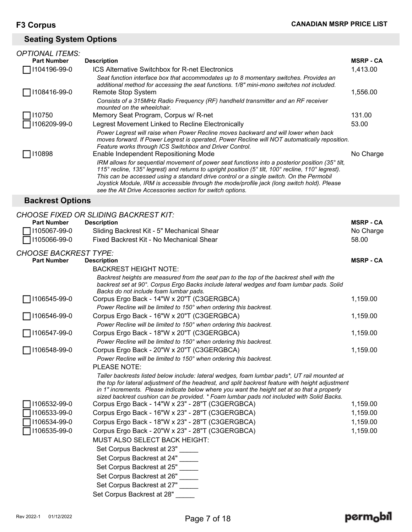## **Seating System Options**

| <b>OPTIONAL ITEMS:</b> |                                                                                                                                                                                                                                                                                                                                                                                                                                                              |                  |
|------------------------|--------------------------------------------------------------------------------------------------------------------------------------------------------------------------------------------------------------------------------------------------------------------------------------------------------------------------------------------------------------------------------------------------------------------------------------------------------------|------------------|
| <b>Part Number</b>     | <b>Description</b>                                                                                                                                                                                                                                                                                                                                                                                                                                           | <b>MSRP - CA</b> |
| 104196-99-0            | <b>ICS Alternative Switchbox for R-net Electronics</b>                                                                                                                                                                                                                                                                                                                                                                                                       | 1,413.00         |
| 108416-99-0            | Seat function interface box that accommodates up to 8 momentary switches. Provides an<br>additional method for accessing the seat functions. 1/8" mini-mono switches not included.<br>Remote Stop System                                                                                                                                                                                                                                                     | 1,556.00         |
|                        | Consists of a 315MHz Radio Frequency (RF) handheld transmitter and an RF receiver<br>mounted on the wheelchair.                                                                                                                                                                                                                                                                                                                                              |                  |
| 10750                  | Memory Seat Program, Corpus w/ R-net                                                                                                                                                                                                                                                                                                                                                                                                                         | 131.00           |
| 106209-99-0            | Legrest Movement Linked to Recline Electronically                                                                                                                                                                                                                                                                                                                                                                                                            | 53.00            |
| 10898                  | Power Legrest will raise when Power Recline moves backward and will lower when back<br>moves forward. If Power Legrest is operated. Power Recline will NOT automatically reposition.<br>Feature works through ICS Switchbox and Driver Control.<br>Enable Independent Repositioning Mode                                                                                                                                                                     | No Charge        |
|                        | IRM allows for sequential movement of power seat functions into a posterior position (35° tilt,<br>115° recline, 135° legrest) and returns to upright position (5° tilt, 100° recline, 110° legrest).<br>This can be accessed using a standard drive control or a single switch. On the Permobil<br>Joystick Module, IRM is accessible through the mode/profile jack (long switch hold). Please<br>see the Alt Drive Accessories section for switch options. |                  |

## **Backrest Options**

|                              | <b>CHOOSE FIXED OR SLIDING BACKREST KIT:</b>                                                                                                                                                                                                                                                                                                                                                  |                  |
|------------------------------|-----------------------------------------------------------------------------------------------------------------------------------------------------------------------------------------------------------------------------------------------------------------------------------------------------------------------------------------------------------------------------------------------|------------------|
| <b>Part Number</b>           | <b>Description</b>                                                                                                                                                                                                                                                                                                                                                                            | <b>MSRP - CA</b> |
| 1105067-99-0                 | Sliding Backrest Kit - 5" Mechanical Shear                                                                                                                                                                                                                                                                                                                                                    | No Charge        |
| 1105066-99-0                 | Fixed Backrest Kit - No Mechanical Shear                                                                                                                                                                                                                                                                                                                                                      | 58.00            |
| <b>CHOOSE BACKREST TYPE:</b> |                                                                                                                                                                                                                                                                                                                                                                                               |                  |
| <b>Part Number</b>           | <b>Description</b>                                                                                                                                                                                                                                                                                                                                                                            | <b>MSRP - CA</b> |
|                              | <b>BACKREST HEIGHT NOTE:</b>                                                                                                                                                                                                                                                                                                                                                                  |                  |
|                              | Backrest heights are measured from the seat pan to the top of the backrest shell with the<br>backrest set at 90°. Corpus Ergo Backs include lateral wedges and foam lumbar pads. Solid<br>Backs do not include foam lumbar pads.                                                                                                                                                              |                  |
| 1106545-99-0                 | Corpus Ergo Back - 14"W x 20"T (C3GERGBCA)                                                                                                                                                                                                                                                                                                                                                    | 1,159.00         |
|                              | Power Recline will be limited to 150° when ordering this backrest.                                                                                                                                                                                                                                                                                                                            |                  |
| 1106546-99-0                 | Corpus Ergo Back - 16"W x 20"T (C3GERGBCA)                                                                                                                                                                                                                                                                                                                                                    | 1,159.00         |
|                              | Power Recline will be limited to 150° when ordering this backrest.                                                                                                                                                                                                                                                                                                                            |                  |
| 1106547-99-0                 | Corpus Ergo Back - 18"W x 20"T (C3GERGBCA)                                                                                                                                                                                                                                                                                                                                                    | 1,159.00         |
|                              | Power Recline will be limited to 150° when ordering this backrest.                                                                                                                                                                                                                                                                                                                            |                  |
| 1106548-99-0                 | Corpus Ergo Back - 20"W x 20"T (C3GERGBCA)                                                                                                                                                                                                                                                                                                                                                    | 1,159.00         |
|                              | Power Recline will be limited to 150° when ordering this backrest.                                                                                                                                                                                                                                                                                                                            |                  |
|                              | <b>PLEASE NOTE:</b>                                                                                                                                                                                                                                                                                                                                                                           |                  |
|                              | Taller backrests listed below include: lateral wedges, foam lumbar pads*, UT rail mounted at<br>the top for lateral adjustment of the headrest, and split backrest feature with height adjustment<br>in 1" increments. Please indicate below where you want the height set at so that a properly<br>sized backrest cushion can be provided. * Foam lumbar pads not included with Solid Backs. |                  |
| 1106532-99-0                 | Corpus Ergo Back - 14"W x 23" - 28"T (C3GERGBCA)                                                                                                                                                                                                                                                                                                                                              | 1,159.00         |
| 1106533-99-0                 | Corpus Ergo Back - 16"W x 23" - 28"T (C3GERGBCA)                                                                                                                                                                                                                                                                                                                                              | 1,159.00         |
| 1106534-99-0                 | Corpus Ergo Back - 18"W x 23" - 28"T (C3GERGBCA)                                                                                                                                                                                                                                                                                                                                              | 1,159.00         |
| 1106535-99-0                 | Corpus Ergo Back - 20"W x 23" - 28"T (C3GERGBCA)                                                                                                                                                                                                                                                                                                                                              | 1,159.00         |
|                              | MUST ALSO SELECT BACK HEIGHT:                                                                                                                                                                                                                                                                                                                                                                 |                  |
|                              | Set Corpus Backrest at 23"                                                                                                                                                                                                                                                                                                                                                                    |                  |
|                              | Set Corpus Backrest at 24"                                                                                                                                                                                                                                                                                                                                                                    |                  |
|                              | Set Corpus Backrest at 25"                                                                                                                                                                                                                                                                                                                                                                    |                  |
|                              | Set Corpus Backrest at 26"                                                                                                                                                                                                                                                                                                                                                                    |                  |
|                              | Set Corpus Backrest at 27"                                                                                                                                                                                                                                                                                                                                                                    |                  |
|                              | Set Corpus Backrest at 28"                                                                                                                                                                                                                                                                                                                                                                    |                  |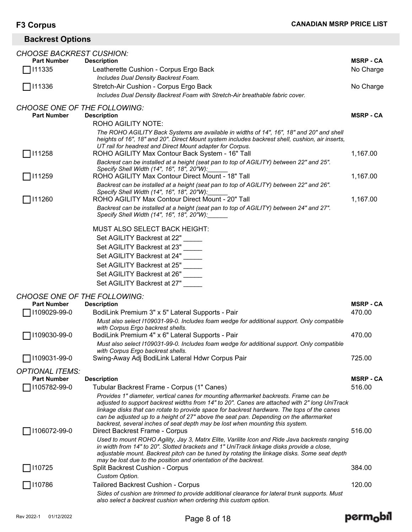## **Backrest Options**

| CHOOSE BACKREST CUSHION:            |                                                                                                                                                                                            |                  |
|-------------------------------------|--------------------------------------------------------------------------------------------------------------------------------------------------------------------------------------------|------------------|
| <b>Part Number</b>                  | <b>Description</b>                                                                                                                                                                         | <b>MSRP - CA</b> |
| 111335                              | Leatherette Cushion - Corpus Ergo Back                                                                                                                                                     | No Charge        |
|                                     | Includes Dual Density Backrest Foam.                                                                                                                                                       |                  |
| $\Box$ 111336                       | Stretch-Air Cushion - Corpus Ergo Back                                                                                                                                                     | No Charge        |
|                                     | Includes Dual Density Backrest Foam with Stretch-Air breathable fabric cover.                                                                                                              |                  |
| <b>CHOOSE ONE OF THE FOLLOWING:</b> |                                                                                                                                                                                            |                  |
| <b>Part Number</b>                  | <b>Description</b>                                                                                                                                                                         | <b>MSRP - CA</b> |
|                                     | ROHO AGILITY NOTE:                                                                                                                                                                         |                  |
|                                     | The ROHO AGILITY Back Systems are available in widths of 14", 16", 18" and 20" and shell                                                                                                   |                  |
|                                     | heights of 16", 18" and 20". Direct Mount system includes backrest shell, cushion, air inserts,<br>UT rail for headrest and Direct Mount adapter for Corpus.                               |                  |
| □ 111258                            | ROHO AGILITY Max Contour Back System - 16" Tall                                                                                                                                            | 1,167.00         |
|                                     | Backrest can be installed at a height (seat pan to top of AGILITY) between 22" and 25".                                                                                                    |                  |
|                                     | Specify Shell Width (14", 16", 18", 20"W):                                                                                                                                                 |                  |
| $\Box$ 111259                       | ROHO AGILITY Max Contour Direct Mount - 18" Tall                                                                                                                                           | 1,167.00         |
|                                     | Backrest can be installed at a height (seat pan to top of AGILITY) between 22" and 26".                                                                                                    |                  |
| 111260                              | Specify Shell Width (14", 16", 18", 20"W):<br>ROHO AGILITY Max Contour Direct Mount - 20" Tall                                                                                             | 1,167.00         |
|                                     | Backrest can be installed at a height (seat pan to top of AGILITY) between 24" and 27".                                                                                                    |                  |
|                                     | Specify Shell Width (14", 16", 18", 20"W):                                                                                                                                                 |                  |
|                                     |                                                                                                                                                                                            |                  |
|                                     | MUST ALSO SELECT BACK HEIGHT:                                                                                                                                                              |                  |
|                                     | Set AGILITY Backrest at 22"                                                                                                                                                                |                  |
|                                     | Set AGILITY Backrest at 23"                                                                                                                                                                |                  |
|                                     | Set AGILITY Backrest at 24"                                                                                                                                                                |                  |
|                                     | Set AGILITY Backrest at 25"                                                                                                                                                                |                  |
|                                     | Set AGILITY Backrest at 26"                                                                                                                                                                |                  |
|                                     | Set AGILITY Backrest at 27"                                                                                                                                                                |                  |
| <b>CHOOSE ONE OF THE FOLLOWING:</b> |                                                                                                                                                                                            |                  |
| <b>Part Number</b>                  | <b>Description</b>                                                                                                                                                                         | <b>MSRP - CA</b> |
| 1109029-99-0                        | BodiLink Premium 3" x 5" Lateral Supports - Pair                                                                                                                                           | 470.00           |
|                                     | Must also select I109031-99-0. Includes foam wedge for additional support. Only compatible                                                                                                 |                  |
|                                     | with Corpus Ergo backrest shells.                                                                                                                                                          |                  |
| 1109030-99-0                        | BodiLink Premium 4" x 6" Lateral Supports - Pair                                                                                                                                           | 470.00           |
|                                     | Must also select I109031-99-0. Includes foam wedge for additional support. Only compatible                                                                                                 |                  |
| 1109031-99-0                        | with Corpus Ergo backrest shells.<br>Swing-Away Adj BodiLink Lateral Hdwr Corpus Pair                                                                                                      | 725.00           |
|                                     |                                                                                                                                                                                            |                  |
| <b>OPTIONAL ITEMS:</b>              |                                                                                                                                                                                            |                  |
| <b>Part Number</b>                  | <b>Description</b>                                                                                                                                                                         | <b>MSRP - CA</b> |
| 1105782-99-0                        | Tubular Backrest Frame - Corpus (1" Canes)                                                                                                                                                 | 516.00           |
|                                     | Provides 1" diameter, vertical canes for mounting aftermarket backrests. Frame can be<br>adjusted to support backrest widths from 14" to 20". Canes are attached with 2" long UniTrack     |                  |
|                                     | linkage disks that can rotate to provide space for backrest hardware. The tops of the canes                                                                                                |                  |
|                                     | can be adjusted up to a height of 27" above the seat pan. Depending on the aftermarket                                                                                                     |                  |
|                                     | backrest, several inches of seat depth may be lost when mounting this system.                                                                                                              |                  |
| 1106072-99-0                        | Direct Backrest Frame - Corpus                                                                                                                                                             | 516.00           |
|                                     | Used to mount ROHO Agility, Jay 3, Matrx Elite, Varilite Icon and Ride Java backrests ranging<br>in width from 14" to 20". Slotted brackets and 1" UniTrack linkage disks provide a close, |                  |
|                                     | adjustable mount. Backrest pitch can be tuned by rotating the linkage disks. Some seat depth                                                                                               |                  |
|                                     | may be lost due to the position and orientation of the backrest.                                                                                                                           |                  |
| 110725                              | Split Backrest Cushion - Corpus                                                                                                                                                            | 384.00           |
|                                     | Custom Option.                                                                                                                                                                             |                  |
| 110786                              | Tailored Backrest Cushion - Corpus                                                                                                                                                         | 120.00           |
|                                     | Sides of cushion are trimmed to provide additional clearance for lateral trunk supports. Must                                                                                              |                  |
|                                     | also select a backrest cushion when ordering this custom option.                                                                                                                           |                  |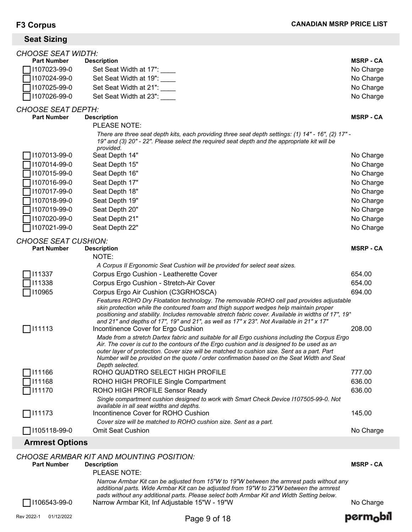## **Seat Sizing**

| <b>CHOOSE SEAT WIDTH:</b>   |                                                                                                                                                                                                                                                                                                                                                                                                              |                  |
|-----------------------------|--------------------------------------------------------------------------------------------------------------------------------------------------------------------------------------------------------------------------------------------------------------------------------------------------------------------------------------------------------------------------------------------------------------|------------------|
| <b>Part Number</b>          | <b>Description</b>                                                                                                                                                                                                                                                                                                                                                                                           | <b>MSRP - CA</b> |
| 1107023-99-0                | Set Seat Width at 17": ____                                                                                                                                                                                                                                                                                                                                                                                  | No Charge        |
| 1107024-99-0                | Set Seat Width at 19":                                                                                                                                                                                                                                                                                                                                                                                       | No Charge        |
| 1107025-99-0                | Set Seat Width at 21":                                                                                                                                                                                                                                                                                                                                                                                       | No Charge        |
| 1107026-99-0                | Set Seat Width at 23":                                                                                                                                                                                                                                                                                                                                                                                       | No Charge        |
| <b>CHOOSE SEAT DEPTH:</b>   |                                                                                                                                                                                                                                                                                                                                                                                                              |                  |
| <b>Part Number</b>          | <b>Description</b>                                                                                                                                                                                                                                                                                                                                                                                           | <b>MSRP - CA</b> |
|                             | PLEASE NOTE:                                                                                                                                                                                                                                                                                                                                                                                                 |                  |
|                             | - "There are three seat depth kits, each providing three seat depth settings: (1) 14" - 16", (2) 17<br>19" and (3) 20" - 22". Please select the required seat depth and the appropriate kit will be<br>provided.                                                                                                                                                                                             |                  |
| 1107013-99-0                | Seat Depth 14"                                                                                                                                                                                                                                                                                                                                                                                               | No Charge        |
| 1107014-99-0                | Seat Depth 15"                                                                                                                                                                                                                                                                                                                                                                                               | No Charge        |
| 1107015-99-0                | Seat Depth 16"                                                                                                                                                                                                                                                                                                                                                                                               | No Charge        |
| 1107016-99-0                | Seat Depth 17"                                                                                                                                                                                                                                                                                                                                                                                               | No Charge        |
| 1107017-99-0                | Seat Depth 18"                                                                                                                                                                                                                                                                                                                                                                                               | No Charge        |
| 1107018-99-0                | Seat Depth 19"                                                                                                                                                                                                                                                                                                                                                                                               | No Charge        |
| 1107019-99-0                | Seat Depth 20"                                                                                                                                                                                                                                                                                                                                                                                               | No Charge        |
| 1107020-99-0                | Seat Depth 21"                                                                                                                                                                                                                                                                                                                                                                                               | No Charge        |
| 1107021-99-0                | Seat Depth 22"                                                                                                                                                                                                                                                                                                                                                                                               | No Charge        |
| <b>CHOOSE SEAT CUSHION:</b> |                                                                                                                                                                                                                                                                                                                                                                                                              |                  |
| <b>Part Number</b>          | <b>Description</b>                                                                                                                                                                                                                                                                                                                                                                                           | <b>MSRP - CA</b> |
|                             | NOTE:                                                                                                                                                                                                                                                                                                                                                                                                        |                  |
|                             | A Corpus II Ergonomic Seat Cushion will be provided for select seat sizes.                                                                                                                                                                                                                                                                                                                                   |                  |
| 111337                      | Corpus Ergo Cushion - Leatherette Cover                                                                                                                                                                                                                                                                                                                                                                      | 654.00           |
| 111338                      | Corpus Ergo Cushion - Stretch-Air Cover                                                                                                                                                                                                                                                                                                                                                                      | 654.00           |
| 110965                      | Corpus Ergo Air Cushion (C3GRHOSCA)                                                                                                                                                                                                                                                                                                                                                                          | 694.00           |
|                             | Features ROHO Dry Floatation technology. The removable ROHO cell pad provides adjustable<br>skin protection while the contoured foam and thigh support wedges help maintain proper<br>positioning and stability. Includes removable stretch fabric cover. Available in widths of 17", 19"<br>and 21" and depths of 17", 19" and 21", as well as 17" x 23". Not Available in 21" x 17"                        |                  |
| 111113                      | Incontinence Cover for Ergo Cushion                                                                                                                                                                                                                                                                                                                                                                          | 208.00           |
|                             | Made from a stretch Dartex fabric and suitable for all Ergo cushions including the Corpus Ergo<br>Air. The cover is cut to the contours of the Ergo cushion and is designed to be used as an<br>outer layer of protection. Cover size will be matched to cushion size. Sent as a part. Part<br>Number will be provided on the quote / order confirmation based on the Seat Width and Seat<br>Depth selected. |                  |
| 111166                      | ROHO QUADTRO SELECT HIGH PROFILE                                                                                                                                                                                                                                                                                                                                                                             | 777.00           |
| 111168                      | ROHO HIGH PROFILE Single Compartment                                                                                                                                                                                                                                                                                                                                                                         | 636.00           |
| 111170                      | ROHO HIGH PROFILE Sensor Ready                                                                                                                                                                                                                                                                                                                                                                               | 636.00           |
|                             | Single compartment cushion designed to work with Smart Check Device I107505-99-0. Not<br>available in all seat widths and depths.                                                                                                                                                                                                                                                                            |                  |
| 111173                      | Incontinence Cover for ROHO Cushion                                                                                                                                                                                                                                                                                                                                                                          | 145.00           |
|                             | Cover size will be matched to ROHO cushion size. Sent as a part.                                                                                                                                                                                                                                                                                                                                             |                  |
| 1105118-99-0                | <b>Omit Seat Cushion</b>                                                                                                                                                                                                                                                                                                                                                                                     | No Charge        |
| <b>Armrest Options</b>      |                                                                                                                                                                                                                                                                                                                                                                                                              |                  |

## *CHOOSE ARMBAR KIT AND MOUNTING POSITION:*

| <b>Part Number</b>  | <b>Description</b>                                                                                                                                                                                                                                                               | <b>MSRP - CA</b> |
|---------------------|----------------------------------------------------------------------------------------------------------------------------------------------------------------------------------------------------------------------------------------------------------------------------------|------------------|
|                     | PLEASE NOTE:                                                                                                                                                                                                                                                                     |                  |
|                     | Narrow Armbar Kit can be adjusted from 15"W to 19"W between the armrest pads without any<br>additional parts. Wide Armbar Kit can be adjusted from 19"W to 23"W between the armrest<br>pads without any additional parts. Please select both Armbar Kit and Width Setting below. |                  |
| $\Box$ I106543-99-0 | Narrow Armbar Kit, Inf Adjustable 15"W - 19"W                                                                                                                                                                                                                                    | No Charge        |

perm<sub>o</sub>bil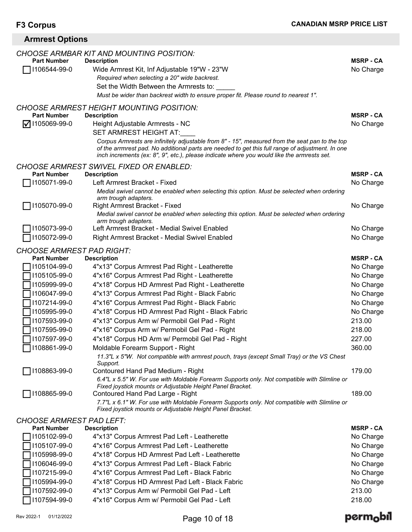| <b>Armrest Options</b>             |                                                                                                                                                                                                                                                                                                                                                               |                               |
|------------------------------------|---------------------------------------------------------------------------------------------------------------------------------------------------------------------------------------------------------------------------------------------------------------------------------------------------------------------------------------------------------------|-------------------------------|
| <b>Part Number</b><br>1106544-99-0 | <b>CHOOSE ARMBAR KIT AND MOUNTING POSITION:</b><br><b>Description</b><br>Wide Armrest Kit, Inf Adjustable 19"W - 23"W<br>Required when selecting a 20" wide backrest.<br>Set the Width Between the Armrests to:<br>Must be wider than backrest width to ensure proper fit. Please round to nearest 1".                                                        | <b>MSRP - CA</b><br>No Charge |
| <b>Part Number</b>                 | <b>CHOOSE ARMREST HEIGHT MOUNTING POSITION:</b><br><b>Description</b>                                                                                                                                                                                                                                                                                         | <b>MSRP - CA</b>              |
| $\nabla$ 1105069-99-0              | Height Adjustable Armrests - NC<br>SET ARMREST HEIGHT AT:<br>Corpus Armrests are infinitely adjustable from 8" - 15", measured from the seat pan to the top<br>of the arrmrest pad. No additional parts are needed to get this full range of adjustment. In one<br>inch increments (ex: 8", 9", etc.), please indicate where you would like the armrests set. | No Charge                     |
| <b>Part Number</b>                 | <b>CHOOSE ARMREST SWIVEL FIXED OR ENABLED:</b><br><b>Description</b>                                                                                                                                                                                                                                                                                          | <b>MSRP - CA</b>              |
| 1105071-99-0                       | Left Armrest Bracket - Fixed<br>Medial swivel cannot be enabled when selecting this option. Must be selected when ordering<br>arm trough adapters.                                                                                                                                                                                                            | No Charge                     |
| 1105070-99-0                       | Right Armrest Bracket - Fixed<br>Medial swivel cannot be enabled when selecting this option. Must be selected when ordering<br>arm trough adapters.                                                                                                                                                                                                           | No Charge                     |
| 1105073-99-0<br>1105072-99-0       | Left Armrest Bracket - Medial Swivel Enabled<br>Right Armrest Bracket - Medial Swivel Enabled                                                                                                                                                                                                                                                                 | No Charge<br>No Charge        |
| <b>CHOOSE ARMREST PAD RIGHT:</b>   |                                                                                                                                                                                                                                                                                                                                                               |                               |
| <b>Part Number</b>                 | <b>Description</b>                                                                                                                                                                                                                                                                                                                                            | <b>MSRP - CA</b>              |
| 1105104-99-0                       | 4"x13" Corpus Armrest Pad Right - Leatherette                                                                                                                                                                                                                                                                                                                 | No Charge                     |
| 1105105-99-0                       | 4"x16" Corpus Armrest Pad Right - Leatherette                                                                                                                                                                                                                                                                                                                 | No Charge                     |
| 1105999-99-0                       | 4"x18" Corpus HD Armrest Pad Right - Leatherette                                                                                                                                                                                                                                                                                                              | No Charge                     |
| 1106047-99-0                       | 4"x13" Corpus Armrest Pad Right - Black Fabric                                                                                                                                                                                                                                                                                                                | No Charge                     |
| 1107214-99-0                       | 4"x16" Corpus Armrest Pad Right - Black Fabric                                                                                                                                                                                                                                                                                                                | No Charge                     |
| 1105995-99-0                       | 4"x18" Corpus HD Armrest Pad Right - Black Fabric                                                                                                                                                                                                                                                                                                             | No Charge                     |
| 1107593-99-0                       | 4"x13" Corpus Arm w/ Permobil Gel Pad - Right                                                                                                                                                                                                                                                                                                                 | 213.00                        |
| 1107595-99-0                       | 4"x16" Corpus Arm w/ Permobil Gel Pad - Right                                                                                                                                                                                                                                                                                                                 | 218.00                        |
| 1107597-99-0                       | 4"x18" Corpus HD Arm w/ Permobil Gel Pad - Right                                                                                                                                                                                                                                                                                                              | 227.00                        |
| 1108861-99-0                       | Moldable Forearm Support - Right                                                                                                                                                                                                                                                                                                                              | 360.00                        |
| 1108863-99-0                       | 11.3"L x 5"W. Not compatible with armrest pouch, trays (except Small Tray) or the VS Chest<br>Support.<br>Contoured Hand Pad Medium - Right                                                                                                                                                                                                                   | 179.00                        |
|                                    | 6.4"L x 5.5" W. For use with Moldable Forearm Supports only. Not compatible with Slimline or<br>Fixed joystick mounts or Adjustable Height Panel Bracket.                                                                                                                                                                                                     |                               |
| 1108865-99-0                       | Contoured Hand Pad Large - Right<br>7.7"L x 6.1" W. For use with Moldable Forearm Supports only. Not compatible with Slimline or<br>Fixed joystick mounts or Adjustable Height Panel Bracket.                                                                                                                                                                 | 189.00                        |
| <b>CHOOSE ARMREST PAD LEFT:</b>    |                                                                                                                                                                                                                                                                                                                                                               |                               |
| <b>Part Number</b>                 | <b>Description</b>                                                                                                                                                                                                                                                                                                                                            | <b>MSRP - CA</b>              |
| 1105102-99-0                       | 4"x13" Corpus Armrest Pad Left - Leatherette                                                                                                                                                                                                                                                                                                                  | No Charge                     |
| 1105107-99-0                       | 4"x16" Corpus Armrest Pad Left - Leatherette                                                                                                                                                                                                                                                                                                                  | No Charge                     |
| 1105998-99-0                       | 4"x18" Corpus HD Armrest Pad Left - Leatherette                                                                                                                                                                                                                                                                                                               | No Charge                     |
| 1106046-99-0                       | 4"x13" Corpus Armrest Pad Left - Black Fabric                                                                                                                                                                                                                                                                                                                 | No Charge                     |
| 1107215-99-0                       | 4"x16" Corpus Armrest Pad Left - Black Fabric                                                                                                                                                                                                                                                                                                                 | No Charge                     |
| 1105994-99-0                       | 4"x18" Corpus HD Armrest Pad Left - Black Fabric                                                                                                                                                                                                                                                                                                              | No Charge                     |
| 1107592-99-0                       | 4"x13" Corpus Arm w/ Permobil Gel Pad - Left                                                                                                                                                                                                                                                                                                                  | 213.00                        |

I107592-99-0 4"x13" Corpus Arm w/ Permobil Gel Pad - Left 213.00

4"x16" Corpus Arm w/ Permobil Gel Pad - Left

## permobil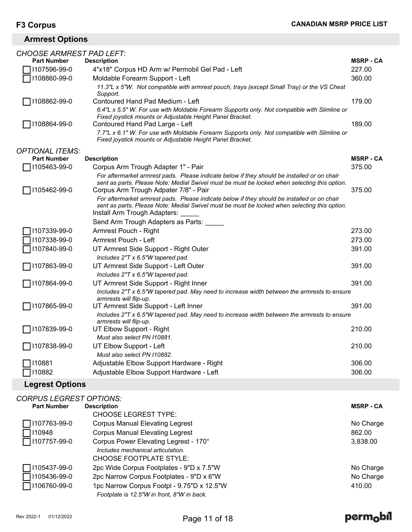## **Armrest Options**

| CHOOSE ARMREST PAD LEFT: |                                                                                                                                                                                                                             |                  |
|--------------------------|-----------------------------------------------------------------------------------------------------------------------------------------------------------------------------------------------------------------------------|------------------|
| <b>Part Number</b>       | <b>Description</b>                                                                                                                                                                                                          | <b>MSRP - CA</b> |
| 1107596-99-0             | 4"x18" Corpus HD Arm w/ Permobil Gel Pad - Left                                                                                                                                                                             | 227.00           |
| 1108860-99-0             | Moldable Forearm Support - Left                                                                                                                                                                                             | 360.00           |
|                          | 11.3"L x 5"W. Not compatible with armrest pouch, trays (except Small Tray) or the VS Chest<br>Support.                                                                                                                      |                  |
| 1108862-99-0             | Contoured Hand Pad Medium - Left                                                                                                                                                                                            | 179.00           |
|                          | 6.4"L x 5.5" W. For use with Moldable Forearm Supports only. Not compatible with Slimline or<br>Fixed joystick mounts or Adjustable Height Panel Bracket.                                                                   | 189.00           |
| 1108864-99-0             | Contoured Hand Pad Large - Left<br>7.7"L x 6.1" W. For use with Moldable Forearm Supports only. Not compatible with Slimline or<br>Fixed joystick mounts or Adjustable Height Panel Bracket.                                |                  |
| <b>OPTIONAL ITEMS:</b>   |                                                                                                                                                                                                                             |                  |
| <b>Part Number</b>       | <b>Description</b>                                                                                                                                                                                                          | <b>MSRP - CA</b> |
| 1105463-99-0             | Corpus Arm Trough Adapter 1" - Pair                                                                                                                                                                                         | 375.00           |
|                          | For aftermarket armrest pads. Please indicate below if they should be installed or on chair<br>sent as parts. Please Note: Medial Swivel must be must be locked when selecting this option.                                 |                  |
| 1105462-99-0             | Corpus Arm Trough Adpater 7/8" - Pair                                                                                                                                                                                       | 375.00           |
|                          | For aftermarket armrest pads. Please indicate below if they should be installed or on chair<br>sent as parts. Please Note: Medial Swivel must be must be locked when selecting this option.<br>Install Arm Trough Adapters: |                  |
|                          | Send Arm Trough Adapters as Parts:                                                                                                                                                                                          |                  |
| 1107339-99-0             | Armrest Pouch - Right                                                                                                                                                                                                       | 273.00           |
| 1107338-99-0             | Armrest Pouch - Left                                                                                                                                                                                                        | 273.00           |
| 1107840-99-0             | UT Armrest Side Support - Right Outer                                                                                                                                                                                       | 391.00           |
|                          | Includes 2"T x 6.5"W tapered pad.                                                                                                                                                                                           |                  |
| 1107863-99-0             | UT Armrest Side Support - Left Outer<br>Includes 2"T x 6.5"W tapered pad.                                                                                                                                                   | 391.00           |
| 1107864-99-0             | UT Armrest Side Support - Right Inner                                                                                                                                                                                       | 391.00           |
|                          | Includes 2"T x 6.5"W tapered pad. May need to increase width between the armrests to ensure<br>armrests will flip-up.                                                                                                       |                  |
| 1107865-99-0             | UT Armrest Side Support - Left Inner                                                                                                                                                                                        | 391.00           |
|                          | Includes 2"T x 6.5"W tapered pad. May need to increase width between the armrests to ensure<br>armrests will flip-up.                                                                                                       |                  |
| 1107839-99-0             | UT Elbow Support - Right                                                                                                                                                                                                    | 210.00           |
|                          | Must also select PN I10881.                                                                                                                                                                                                 |                  |
| 1107838-99-0             | UT Elbow Support - Left<br>Must also select PN 110882.                                                                                                                                                                      | 210.00           |
| 110881                   | Adjustable Elbow Support Hardware - Right                                                                                                                                                                                   | 306.00           |
| 110882                   | Adjustable Elbow Support Hardware - Left                                                                                                                                                                                    | 306.00           |

## **Legrest Options**

| <b>CORPUS LEGREST OPTIONS:</b> |                                            |                  |
|--------------------------------|--------------------------------------------|------------------|
| <b>Part Number</b>             | <b>Description</b>                         | <b>MSRP - CA</b> |
|                                | <b>CHOOSE LEGREST TYPE:</b>                |                  |
| 1107763-99-0                   | <b>Corpus Manual Elevating Legrest</b>     | No Charge        |
| 110948                         | <b>Corpus Manual Elevating Legrest</b>     | 862.00           |
| □ 1107757-99-0                 | Corpus Power Elevating Legrest - 170°      | 3,838.00         |
|                                | Includes mechanical articulation.          |                  |
|                                | CHOOSE FOOTPLATE STYLE:                    |                  |
| 1105437-99-0                   | 2pc Wide Corpus Footplates - 9"D x 7.5"W   | No Charge        |
| 1105436-99-0                   | 2pc Narrow Corpus Footplates - 9"D x 6"W   | No Charge        |
| 1106760-99-0                   | 1pc Narrow Corpus Footpl - 9.75"D x 12.5"W | 410.00           |
|                                | Footplate is 12.5"W in front, 8"W in back. |                  |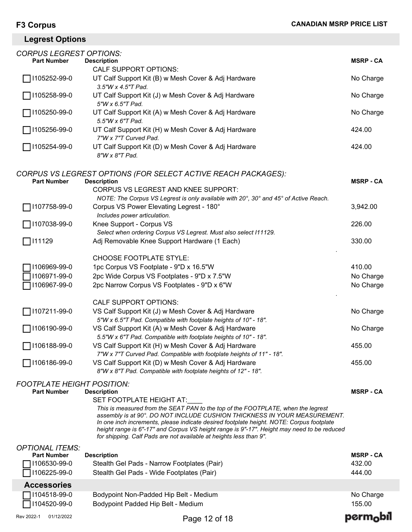## **Legrest Options**

| <b>CORPUS LEGREST OPTIONS:</b>                                               |                                                                                                                                                                                                                                                                                                                                                                                                                                                                                 |                                               |
|------------------------------------------------------------------------------|---------------------------------------------------------------------------------------------------------------------------------------------------------------------------------------------------------------------------------------------------------------------------------------------------------------------------------------------------------------------------------------------------------------------------------------------------------------------------------|-----------------------------------------------|
| <b>Part Number</b>                                                           | <b>Description</b>                                                                                                                                                                                                                                                                                                                                                                                                                                                              | <b>MSRP - CA</b>                              |
| 1105252-99-0                                                                 | <b>CALF SUPPORT OPTIONS:</b><br>UT Calf Support Kit (B) w Mesh Cover & Adj Hardware                                                                                                                                                                                                                                                                                                                                                                                             | No Charge                                     |
| 1105258-99-0                                                                 | $3.5''W \times 4.5''T$ Pad.<br>UT Calf Support Kit (J) w Mesh Cover & Adj Hardware                                                                                                                                                                                                                                                                                                                                                                                              | No Charge                                     |
| 1105250-99-0                                                                 | 5"W x 6.5"T Pad.<br>UT Calf Support Kit (A) w Mesh Cover & Adj Hardware<br>5.5"W x 6"T Pad.                                                                                                                                                                                                                                                                                                                                                                                     | No Charge                                     |
| 1105256-99-0                                                                 | UT Calf Support Kit (H) w Mesh Cover & Adj Hardware<br>7"W x 7"T Curved Pad.                                                                                                                                                                                                                                                                                                                                                                                                    | 424.00                                        |
| 1105254-99-0                                                                 | UT Calf Support Kit (D) w Mesh Cover & Adj Hardware<br>8"W x 8"T Pad.                                                                                                                                                                                                                                                                                                                                                                                                           | 424.00                                        |
| <b>Part Number</b>                                                           | CORPUS VS LEGREST OPTIONS (FOR SELECT ACTIVE REACH PACKAGES):<br><b>Description</b><br><b>CORPUS VS LEGREST AND KNEE SUPPORT:</b><br>NOTE: The Corpus VS Legrest is only available with 20°, 30° and 45° of Active Reach.                                                                                                                                                                                                                                                       | <b>MSRP - CA</b>                              |
| 1107758-99-0                                                                 | Corpus VS Power Elevating Legrest - 180°<br>Includes power articulation.                                                                                                                                                                                                                                                                                                                                                                                                        | 3,942.00                                      |
| 1107038-99-0                                                                 | Knee Support - Corpus VS<br>Select when ordering Corpus VS Legrest. Must also select I11129.                                                                                                                                                                                                                                                                                                                                                                                    | 226.00                                        |
| 111129                                                                       | Adj Removable Knee Support Hardware (1 Each)                                                                                                                                                                                                                                                                                                                                                                                                                                    | 330.00                                        |
| 1106969-99-0<br>1106971-99-0<br>106967-99-0<br>1107211-99-0                  | <b>CHOOSE FOOTPLATE STYLE:</b><br>1pc Corpus VS Footplate - 9"D x 16.5"W<br>2pc Wide Corpus VS Footplates - 9"D x 7.5"W<br>2pc Narrow Corpus VS Footplates - 9"D x 6"W<br><b>CALF SUPPORT OPTIONS:</b><br>VS Calf Support Kit (J) w Mesh Cover & Adj Hardware                                                                                                                                                                                                                   | 410.00<br>No Charge<br>No Charge<br>No Charge |
| 1106190-99-0                                                                 | 5"W x 6.5"T Pad. Compatible with footplate heights of 10" - 18".<br>VS Calf Support Kit (A) w Mesh Cover & Adj Hardware                                                                                                                                                                                                                                                                                                                                                         | No Charge                                     |
| 1106188-99-0                                                                 | 5.5"W x 6"T Pad. Compatible with footplate heights of 10" - 18".<br>VS Calf Support Kit (H) w Mesh Cover & Adj Hardware<br>7"W x 7"T Curved Pad. Compatible with footplate heights of 11" - 18".                                                                                                                                                                                                                                                                                | 455.00                                        |
| 1106186-99-0                                                                 | VS Calf Support Kit (D) w Mesh Cover & Adj Hardware<br>8"W x 8"T Pad. Compatible with footplate heights of 12" - 18".                                                                                                                                                                                                                                                                                                                                                           | 455.00                                        |
| <b>FOOTPLATE HEIGHT POSITION:</b><br><b>Part Number</b>                      | <b>Description</b><br>SET FOOTPLATE HEIGHT AT:<br>This is measured from the SEAT PAN to the top of the FOOTPLATE, when the legrest<br>assembly is at 90°. DO NOT INCLUDE CUSHION THICKNESS IN YOUR MEASUREMENT.<br>In one inch increments, please indicate desired footplate height. NOTE: Corpus footplate<br>height range is 6"-17" and Corpus VS height range is 9"-17". Height may need to be reduced<br>for shipping. Calf Pads are not available at heights less than 9". | <b>MSRP - CA</b>                              |
| <b>OPTIONAL ITEMS:</b><br><b>Part Number</b><br>1106530-99-0<br>1106225-99-0 | <b>Description</b><br>Stealth Gel Pads - Narrow Footplates (Pair)<br>Stealth Gel Pads - Wide Footplates (Pair)                                                                                                                                                                                                                                                                                                                                                                  | <b>MSRP - CA</b><br>432.00<br>444.00          |
| <b>Accessories</b>                                                           |                                                                                                                                                                                                                                                                                                                                                                                                                                                                                 |                                               |
| 1104518-99-0<br>104520-99-0                                                  | Bodypoint Non-Padded Hip Belt - Medium<br>Bodypoint Padded Hip Belt - Medium                                                                                                                                                                                                                                                                                                                                                                                                    | No Charge<br>155.00                           |
| Rev 2022-1<br>01/12/2022                                                     | Page 12 of 18                                                                                                                                                                                                                                                                                                                                                                                                                                                                   | perm <sub>o</sub> b                           |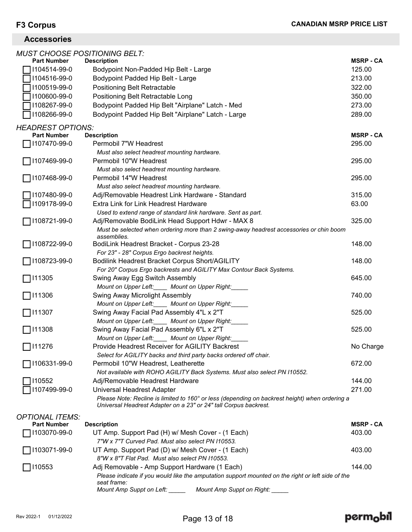## **Accessories**

|                          | <b>MUST CHOOSE POSITIONING BELT:</b>                                                                             |                  |
|--------------------------|------------------------------------------------------------------------------------------------------------------|------------------|
| <b>Part Number</b>       | <b>Description</b>                                                                                               | <b>MSRP - CA</b> |
| 1104514-99-0             | Bodypoint Non-Padded Hip Belt - Large                                                                            | 125.00           |
| 1104516-99-0             | Bodypoint Padded Hip Belt - Large                                                                                | 213.00           |
| 1100519-99-0             | Positioning Belt Retractable                                                                                     | 322.00           |
| 1100600-99-0             | Positioning Belt Retractable Long                                                                                | 350.00           |
| 1108267-99-0             | Bodypoint Padded Hip Belt "Airplane" Latch - Med                                                                 | 273.00           |
| 1108266-99-0             | Bodypoint Padded Hip Belt "Airplane" Latch - Large                                                               | 289.00           |
| <b>HEADREST OPTIONS:</b> |                                                                                                                  |                  |
| <b>Part Number</b>       | <b>Description</b>                                                                                               | <b>MSRP - CA</b> |
| 1107470-99-0             | Permobil 7"W Headrest                                                                                            | 295.00           |
|                          | Must also select headrest mounting hardware.                                                                     |                  |
| │I107469-99-0            | Permobil 10"W Headrest                                                                                           | 295.00           |
|                          | Must also select headrest mounting hardware.                                                                     |                  |
| 1107468-99-0             | Permobil 14"W Headrest                                                                                           | 295.00           |
|                          | Must also select headrest mounting hardware.                                                                     |                  |
| 1107480-99-0             | Adj/Removable Headrest Link Hardware - Standard                                                                  | 315.00           |
| 1109178-99-0             | Extra Link for Link Headrest Hardware                                                                            | 63.00            |
|                          | Used to extend range of standard link hardware. Sent as part.                                                    |                  |
| 1108721-99-0             | Adj/Removable BodiLink Head Support Hdwr - MAX 8                                                                 | 325.00           |
|                          | Must be selected when ordering more than 2 swing-away headrest accessories or chin boom                          |                  |
| 1108722-99-0             | assemblies.<br>BodiLink Headrest Bracket - Corpus 23-28                                                          | 148.00           |
|                          | For 23" - 28" Corpus Ergo backrest heights.                                                                      |                  |
| 1108723-99-0             | Bodilink Headrest Bracket Corpus Short/AGILITY                                                                   | 148.00           |
|                          | For 20" Corpus Ergo backrests and AGILITY Max Contour Back Systems.                                              |                  |
| □111305                  | Swing Away Egg Switch Assembly                                                                                   | 645.00           |
|                          | Mount on Upper Left:_____ Mount on Upper Right:_                                                                 |                  |
| 111306                   | Swing Away Microlight Assembly                                                                                   | 740.00           |
|                          | Mount on Upper Left:_____ Mount on Upper Right:_                                                                 |                  |
| 111307                   | Swing Away Facial Pad Assembly 4"L x 2"T                                                                         | 525.00           |
|                          | Mount on Upper Left: Mount on Upper Right:                                                                       |                  |
| ヿ!11308                  | Swing Away Facial Pad Assembly 6"L x 2"T                                                                         | 525.00           |
|                          | Mount on Upper Left: Mount on Upper Right:                                                                       |                  |
| 7111276                  | <b>Provide Headrest Receiver for AGILITY Backrest</b>                                                            | No Charge        |
|                          | Select for AGILITY backs and third party backs ordered off chair.                                                |                  |
| 1106331-99-0             | Permobil 10"W Headrest, Leatherette                                                                              | 672.00           |
|                          | Not available with ROHO AGILITY Back Systems. Must also select PN I10552.                                        |                  |
| 110552                   | Adj/Removable Headrest Hardware                                                                                  | 144.00           |
| 1107499-99-0             | Universal Headrest Adapter                                                                                       | 271.00           |
|                          | Please Note: Recline is limited to 160° or less (depending on backrest height) when ordering a                   |                  |
|                          | Universal Headrest Adapter on a 23" or 24" tall Corpus backrest.                                                 |                  |
| <b>OPTIONAL ITEMS:</b>   |                                                                                                                  |                  |
| <b>Part Number</b>       | <b>Description</b>                                                                                               | <b>MSRP - CA</b> |
| 1103070-99-0             | UT Amp. Support Pad (H) w/ Mesh Cover - (1 Each)<br>7"W x 7"T Curved Pad. Must also select PN 110553.            | 403.00           |
| 1103071-99-0             | UT Amp. Support Pad (D) w/ Mesh Cover - (1 Each)                                                                 | 403.00           |
|                          | 8"W x 8"T Flat Pad. Must also select PN 110553.                                                                  |                  |
| 110553                   | Adj Removable - Amp Support Hardware (1 Each)                                                                    | 144.00           |
|                          | Please indicate if you would like the amputation support mounted on the right or left side of the<br>seat frame: |                  |
|                          | Mount Amp Suppt on Left:<br>Mount Amp Suppt on Right:                                                            |                  |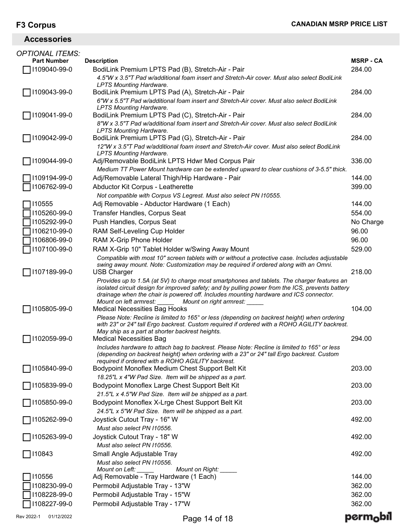**Accessories**

## MSRP-CA *OPTIONAL ITEMS:* **Part Number Description MSRP - CA** I109040-99-0 BodiLink Premium LPTS Pad (B), Stretch-Air - Pair 284.00 *4.5"W x 3.5"T Pad w/additional foam insert and Stretch-Air cover. Must also select BodiLink LPTS Mounting Hardware.*  I109043-99-0 BodiLink Premium LPTS Pad (A), Stretch-Air - Pair 284.00 *6"W x 5.5"T Pad w/additional foam insert and Stretch-Air cover. Must also select BodiLink LPTS Mounting Hardware.*  I109041-99-0 BodiLink Premium LPTS Pad (C), Stretch-Air - Pair 284.00 *8"W x 3.5"T Pad w/additional foam insert and Stretch-Air cover. Must also select BodiLink LPTS Mounting Hardware.*  I109042-99-0 BodiLink Premium LPTS Pad (G), Stretch-Air - Pair 284.00 *12"W x 3.5"T Pad w/additional foam insert and Stretch-Air cover. Must also select BodiLink LPTS Mounting Hardware.*  I109044-99-0 Adj/Removable BodiLink LPTS Hdwr Med Corpus Pair 336.00 *Medium TT Power Mount hardware can be extended upward to clear cushions of 3-5.5" thick.*  \_I109194-99-0 Adj/Removable Lateral Thigh/Hip Hardware - Pair 144.00<br>TI106762-99-0 Abductor Kit Corpus - Leatherette Abductor Kit Corpus - Leatherette *Not compatible with Corpus VS Legrest. Must also select PN I10555.*  \_\_ I10555 Adj Removable - Abductor Hardware (1 Each) 144.00<br> ̄ I105260-99-0 Transfer Handles, Corpus Seat \_I105260-99-0 Transfer Handles, Corpus Seat 554.00<br>TI105292-99-0 Push Handles, Corpus Seat No Charge I105292-99-0 Push Handles, Corpus Seat No Charge I106210-99-0 RAM Self-Leveling Cup Holder 96.00 1106806-99-0 RAM X-Grip Phone Holder<br>I107100-99-0 RAM X-Grip 10" Tablet Holder w/Swing Away Mount 1107100-99-0 529.00 RAM X-Grip 10" Tablet Holder w/Swing Away Mount *Compatible with most 10" screen tablets with or without a protective case. Includes adjustable swing away mount. Note: Customization may be required if ordered along with an Omni.*  I107189-99-0 USB Charger 218.00 *Provides up to 1.5A (at 5V) to charge most smartphones and tablets. The charger features an isolated circuit design for improved safety; and by pulling power from the ICS, prevents battery drainage when the chair is powered off. Includes mounting hardware and ICS connector. Mount on left armrest: \_\_\_\_\_ Mount on right armrest: \_\_\_\_\_*   $\bigcap$  I105805-99-0  $\bigcap$  Medical Necessities Bag Hooks 104.00  $\bigcap$  104.00  $\bigcap$ *Please Note: Recline is limited to 165° or less (depending on backrest height) when ordering with 23" or 24" tall Ergo backrest. Custom required if ordered with a ROHO AGILITY backrest. May ship as a part at shorter backrest heights.*  I102059-99-0 Medical Necessities Bag 294.00 *Includes hardware to attach bag to backrest. Please Note: Recline is limited to 165° or less (depending on backrest height) when ordering with a 23" or 24" tall Ergo backrest. Custom required if ordered with a ROHO AGILITY backrest.*  I105840-99-0 Bodypoint Monoflex Medium Chest Support Belt Kit 203.00 *18.25"L x 4"W Pad Size. Item will be shipped as a part.*  I105839-99-0 Bodypoint Monoflex Large Chest Support Belt Kit 203.00 *21.5"L x 4.5"W Pad Size. Item will be shipped as a part.*  I105850-99-0 Bodypoint Monoflex X-Lrge Chest Support Belt Kit 203.00 *24.5"L x 5"W Pad Size. Item will be shipped as a part.*  I105262-99-0 Joystick Cutout Tray - 16" W 492.00 *Must also select PN I10556.*  I105263-99-0 Joystick Cutout Tray - 18" W 492.00 *Must also select PN I10556.*  I10843 Small Angle Adjustable Tray 492.00 *Must also select PN I10556. Mount on Left: \_\_\_\_\_ Mount on Right: \_\_\_\_\_*  ] I10556 Adj Removable - Tray Hardware (1 Each) 144.00<br>1I108230-99-0 Permobil Adiustable Trav - 13"W I108230-99-0 Permobil Adjustable Tray - 13"W 362.00 I108228-99-0 Permobil Adjustable Tray - 15"W 362.00 Permobil Adjustable Tray - 17"W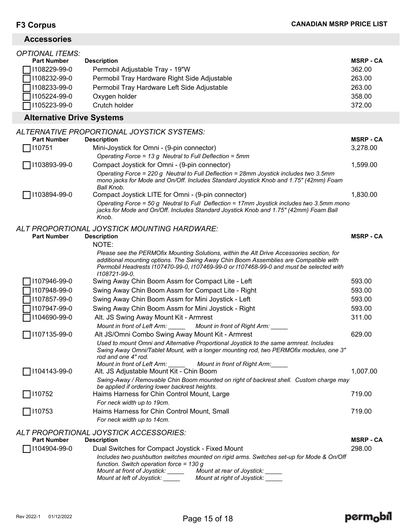## **Accessories**

| <b>OPTIONAL ITEMS:</b>             |                                                                                                                                                                                                                                                                              |                            |
|------------------------------------|------------------------------------------------------------------------------------------------------------------------------------------------------------------------------------------------------------------------------------------------------------------------------|----------------------------|
| <b>Part Number</b>                 | <b>Description</b>                                                                                                                                                                                                                                                           | <b>MSRP - CA</b>           |
| 1108229-99-0                       | Permobil Adjustable Tray - 19"W                                                                                                                                                                                                                                              | 362.00                     |
| 1108232-99-0                       | Permobil Tray Hardware Right Side Adjustable                                                                                                                                                                                                                                 | 263.00                     |
| 1108233-99-0                       | Permobil Tray Hardware Left Side Adjustable                                                                                                                                                                                                                                  | 263.00                     |
| 1105224-99-0                       | Oxygen holder                                                                                                                                                                                                                                                                | 358.00                     |
| 1105223-99-0                       | Crutch holder                                                                                                                                                                                                                                                                | 372.00                     |
| <b>Alternative Drive Systems</b>   |                                                                                                                                                                                                                                                                              |                            |
|                                    | ALTERNATIVE PROPORTIONAL JOYSTICK SYSTEMS:                                                                                                                                                                                                                                   |                            |
| <b>Part Number</b>                 | <b>Description</b>                                                                                                                                                                                                                                                           | <b>MSRP - CA</b>           |
| 110751                             | Mini-Joystick for Omni - (9-pin connector)                                                                                                                                                                                                                                   | 3,278.00                   |
|                                    | Operating Force = 13 g Neutral to Full Deflection = 5mm                                                                                                                                                                                                                      |                            |
| 1103893-99-0                       | Compact Joystick for Omni - (9-pin connector)                                                                                                                                                                                                                                | 1,599.00                   |
|                                    | Operating Force = 220 g Neutral to Full Deflection = 28mm Joystick includes two 3.5mm<br>mono jacks for Mode and On/Off. Includes Standard Joystick Knob and 1.75" (42mm) Foam<br>Ball Knob.                                                                                 |                            |
| 1103894-99-0                       | Compact Joystick LITE for Omni - (9-pin connector)                                                                                                                                                                                                                           | 1,830.00                   |
|                                    | Operating Force = 50 g Neutral to Full Deflection = 17mm Joystick includes two 3.5mm mono<br>jacks for Mode and On/Off. Includes Standard Joystick Knob and 1.75" (42mm) Foam Ball<br>Knob.                                                                                  |                            |
|                                    | ALT PROPORTIONAL JOYSTICK MOUNTING HARDWARE:                                                                                                                                                                                                                                 |                            |
| <b>Part Number</b>                 | <b>Description</b><br>NOTE:                                                                                                                                                                                                                                                  | <b>MSRP - CA</b>           |
|                                    | Please see the PERMOfix Mounting Solutions, within the Alt Drive Accessories section, for<br>additional mounting options. The Swing Away Chin Boom Assemblies are Compatible with<br>Permobil Headrests I107470-99-0, I107469-99-0 or I107468-99-0 and must be selected with |                            |
|                                    | 1108721-99-0.                                                                                                                                                                                                                                                                |                            |
| 1107946-99-0                       | Swing Away Chin Boom Assm for Compact Lite - Left                                                                                                                                                                                                                            | 593.00                     |
| 1107948-99-0                       | Swing Away Chin Boom Assm for Compact Lite - Right                                                                                                                                                                                                                           | 593.00                     |
| 1107857-99-0                       | Swing Away Chin Boom Assm for Mini Joystick - Left                                                                                                                                                                                                                           | 593.00                     |
| 1107947-99-0                       | Swing Away Chin Boom Assm for Mini Joystick - Right                                                                                                                                                                                                                          | 593.00                     |
| 1104690-99-0                       | Alt. JS Swing Away Mount Kit - Armrest                                                                                                                                                                                                                                       | 311.00                     |
|                                    | Mount in front of Left Arm:<br>Mount in front of Right Arm:                                                                                                                                                                                                                  |                            |
| 1107135-99-0                       | Alt JS/Omni Combo Swing Away Mount Kit - Armrest                                                                                                                                                                                                                             | 629.00                     |
|                                    | Used to mount Omni and Alternative Proportional Joystick to the same armrest. Includes<br>Swing Away Omni/Tablet Mount, with a longer mounting rod, two PERMOfix modules, one 3"<br>rod and one 4" rod.                                                                      |                            |
|                                    | Mount in front of Left Arm:<br>Mount in front of Right Arm:                                                                                                                                                                                                                  |                            |
| 1104143-99-0                       | Alt. JS Adjustable Mount Kit - Chin Boom                                                                                                                                                                                                                                     | 1,007.00                   |
|                                    | Swing-Away / Removable Chin Boom mounted on right of backrest shell. Custom charge may<br>be applied if ordering lower backrest heights.                                                                                                                                     |                            |
| 110752                             | Haims Harness for Chin Control Mount, Large                                                                                                                                                                                                                                  | 719.00                     |
|                                    | For neck width up to 19cm.                                                                                                                                                                                                                                                   |                            |
| □ 110753                           | Haims Harness for Chin Control Mount, Small                                                                                                                                                                                                                                  | 719.00                     |
|                                    | For neck width up to 14cm.                                                                                                                                                                                                                                                   |                            |
|                                    | ALT PROPORTIONAL JOYSTICK ACCESSORIES:                                                                                                                                                                                                                                       |                            |
| <b>Part Number</b><br>1104904-99-0 | <b>Description</b><br>Dual Switches for Compact Joystick - Fixed Mount                                                                                                                                                                                                       | <b>MSRP - CA</b><br>298.00 |
|                                    | Includes two pushbutton switches mounted on rigid arms. Switches set-up for Mode & On/Off                                                                                                                                                                                    |                            |
|                                    | function. Switch operation force = $130 g$<br>Mount at front of Joystick: _____<br>Mount at rear of Joystick:                                                                                                                                                                |                            |
|                                    | Mount at left of Joystick:<br>Mount at right of Joystick:                                                                                                                                                                                                                    |                            |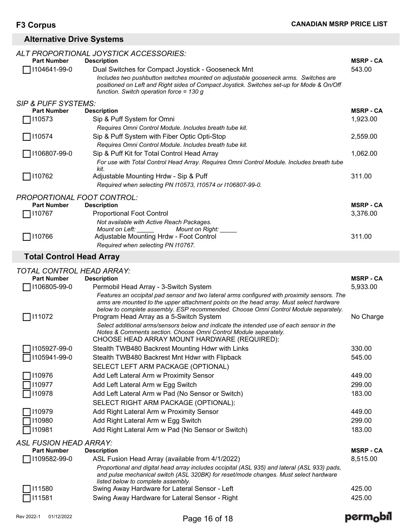## **Alternative Drive Systems**

| <b>Part Number</b>                                   | ALT PROPORTIONAL JOYSTICK ACCESSORIES:                                                                                                                                               | <b>MSRP - CA</b> |
|------------------------------------------------------|--------------------------------------------------------------------------------------------------------------------------------------------------------------------------------------|------------------|
| 1104641-99-0                                         | <b>Description</b><br>Dual Switches for Compact Joystick - Gooseneck Mnt                                                                                                             | 543.00           |
|                                                      | Includes two pushbutton switches mounted on adjustable gooseneck arms. Switches are                                                                                                  |                  |
|                                                      | positioned on Left and Right sides of Compact Joystick. Switches set-up for Mode & On/Off                                                                                            |                  |
|                                                      | function. Switch operation force = $130 g$                                                                                                                                           |                  |
| <b>SIP &amp; PUFF SYSTEMS:</b><br><b>Part Number</b> | <b>Description</b>                                                                                                                                                                   | <b>MSRP - CA</b> |
| 110573                                               | Sip & Puff System for Omni                                                                                                                                                           | 1,923.00         |
|                                                      | Requires Omni Control Module. Includes breath tube kit.                                                                                                                              |                  |
| 110574                                               | Sip & Puff System with Fiber Optic Opti-Stop                                                                                                                                         | 2,559.00         |
|                                                      | Requires Omni Control Module. Includes breath tube kit.                                                                                                                              |                  |
| 1106807-99-0                                         | Sip & Puff Kit for Total Control Head Array                                                                                                                                          | 1,062.00         |
|                                                      | For use with Total Control Head Array. Requires Omni Control Module. Includes breath tube<br>kit.                                                                                    |                  |
| 110762                                               | Adjustable Mounting Hrdw - Sip & Puff                                                                                                                                                | 311.00           |
|                                                      | Required when selecting PN I10573, I10574 or I106807-99-0.                                                                                                                           |                  |
| <b>PROPORTIONAL FOOT CONTROL:</b>                    |                                                                                                                                                                                      |                  |
| <b>Part Number</b>                                   | <b>Description</b>                                                                                                                                                                   | <b>MSRP - CA</b> |
| 110767                                               | <b>Proportional Foot Control</b>                                                                                                                                                     | 3,376.00         |
|                                                      | Not available with Active Reach Packages.                                                                                                                                            |                  |
|                                                      | Mount on Right:<br><i>Mount on Left:</i>                                                                                                                                             |                  |
| $\Box$ 110766                                        | Adjustable Mounting Hrdw - Foot Control                                                                                                                                              | 311.00           |
|                                                      | Required when selecting PN I10767.                                                                                                                                                   |                  |
| <b>Total Control Head Array</b>                      |                                                                                                                                                                                      |                  |
| <b>TOTAL CONTROL HEAD ARRAY:</b>                     |                                                                                                                                                                                      |                  |
|                                                      |                                                                                                                                                                                      | <b>MSRP - CA</b> |
| <b>Part Number</b>                                   | <b>Description</b>                                                                                                                                                                   |                  |
| 1106805-99-0                                         | Permobil Head Array - 3-Switch System                                                                                                                                                | 5,933.00         |
|                                                      | Features an occipital pad sensor and two lateral arms configured with proximity sensors. The                                                                                         |                  |
|                                                      | arms are mounted to the upper attachment points on the head array. Must select hardware                                                                                              |                  |
|                                                      | below to complete assembly. ESP recommended. Choose Omni Control Module separately.                                                                                                  |                  |
| $\Box$ 111072                                        | Program Head Array as a 5-Switch System                                                                                                                                              | No Charge        |
|                                                      | Select additional arms/sensors below and indicate the intended use of each sensor in the<br>Notes & Comments section. Choose Omni Control Module separately.                         |                  |
|                                                      | CHOOSE HEAD ARRAY MOUNT HARDWARE (REQUIRED):                                                                                                                                         |                  |
| $\Box$ I105927-99-0                                  | Stealth TWB480 Backrest Mounting Hdwr with Links                                                                                                                                     | 330.00           |
| 1105941-99-0                                         | Stealth TWB480 Backrest Mnt Hdwr with Flipback                                                                                                                                       | 545.00           |
|                                                      | SELECT LEFT ARM PACKAGE (OPTIONAL)                                                                                                                                                   |                  |
| 110976                                               | Add Left Lateral Arm w Proximity Sensor                                                                                                                                              | 449.00           |
| 110977                                               | Add Left Lateral Arm w Egg Switch                                                                                                                                                    | 299.00           |
| 110978                                               | Add Left Lateral Arm w Pad (No Sensor or Switch)                                                                                                                                     | 183.00           |
|                                                      | SELECT RIGHT ARM PACKAGE (OPTIONAL):                                                                                                                                                 |                  |
| 110979                                               | Add Right Lateral Arm w Proximity Sensor                                                                                                                                             | 449.00           |
| 110980                                               | Add Right Lateral Arm w Egg Switch                                                                                                                                                   | 299.00           |
| 110981                                               | Add Right Lateral Arm w Pad (No Sensor or Switch)                                                                                                                                    | 183.00           |
| <b>ASL FUSION HEAD ARRAY:</b>                        |                                                                                                                                                                                      |                  |
| <b>Part Number</b>                                   | <b>Description</b>                                                                                                                                                                   | <b>MSRP - CA</b> |
| 1109582-99-0                                         | ASL Fusion Head Array (available from 4/1/2022)                                                                                                                                      | 8,515.00         |
|                                                      | Proportional and digital head array includes occipital (ASL 935) and lateral (ASL 933) pads,<br>and pulse mechanical switch (ASL 320BK) for reset/mode changes. Must select hardware |                  |
|                                                      | listed below to complete assembly.                                                                                                                                                   |                  |
| 111580<br>111581                                     | Swing Away Hardware for Lateral Sensor - Left<br>Swing Away Hardware for Lateral Sensor - Right                                                                                      | 425.00<br>425.00 |

## perm<sub>o</sub>bil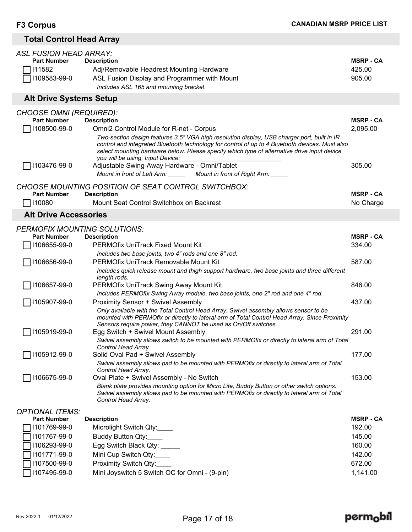## **Total Control Head Array**

| <b>ASL FUSION HEAD ARRAY:</b><br><b>Part Number</b><br>111582<br>1109583-99-0 | <b>Description</b><br>Adj/Removable Headrest Mounting Hardware<br>ASL Fusion Display and Programmer with Mount<br>Includes ASL 165 and mounting bracket.                                                                                                                                                                                                                                                  | <b>MSRP - CA</b><br>425.00<br>905.00 |
|-------------------------------------------------------------------------------|-----------------------------------------------------------------------------------------------------------------------------------------------------------------------------------------------------------------------------------------------------------------------------------------------------------------------------------------------------------------------------------------------------------|--------------------------------------|
| <b>Alt Drive Systems Setup</b>                                                |                                                                                                                                                                                                                                                                                                                                                                                                           |                                      |
| <b>CHOOSE OMNI (REQUIRED):</b><br><b>Part Number</b><br>1108500-99-0          | <b>Description</b><br><b>Omni2 Control Module for R-net - Corpus</b><br>Two-section design features 3.5" VGA high resolution display, USB charger port, built in IR<br>control and integrated Bluetooth technology for control of up to 4 Bluetooth devices. Must also<br>select mounting hardware below. Please specify which type of alternative drive input device<br>you will be using. Input Device: | <b>MSRP - CA</b><br>2,095.00         |
| 1103476-99-0                                                                  | Adjustable Swing-Away Hardware - Omni/Tablet<br>Mount in front of Left Arm: ______ Mount in front of Right Arm: _____                                                                                                                                                                                                                                                                                     | 305.00                               |
|                                                                               | CHOOSE MOUNTING POSITION OF SEAT CONTROL SWITCHBOX:                                                                                                                                                                                                                                                                                                                                                       |                                      |
| <b>Part Number</b><br>110080                                                  | <b>Description</b><br>Mount Seat Control Switchbox on Backrest                                                                                                                                                                                                                                                                                                                                            | <b>MSRP - CA</b><br>No Charge        |
| <b>Alt Drive Accessories</b>                                                  |                                                                                                                                                                                                                                                                                                                                                                                                           |                                      |
| <b>PERMOFIX MOUNTING SOLUTIONS:</b><br><b>Part Number</b>                     | <b>Description</b>                                                                                                                                                                                                                                                                                                                                                                                        | <b>MSRP - CA</b>                     |
| 1106655-99-0                                                                  | <b>PERMOfix UniTrack Fixed Mount Kit</b><br>Includes two base joints, two 4" rods and one 8" rod.                                                                                                                                                                                                                                                                                                         | 334.00                               |
| 1106656-99-0                                                                  | PERMOfix UniTrack Removable Mount Kit<br>Includes quick release mount and thigh support hardware, two base joints and three different<br>length rods.                                                                                                                                                                                                                                                     | 587.00                               |
| 1106657-99-0                                                                  | PERMOfix UniTrack Swing Away Mount Kit<br>Includes PERMOfix Swing Away module, two base joints, one 2" rod and one 4" rod.                                                                                                                                                                                                                                                                                | 846.00                               |
| 1105907-99-0                                                                  | <b>Proximity Sensor + Swivel Assembly</b><br>Only available with the Total Control Head Array. Swivel assembly allows sensor to be<br>mounted with PERMOfix or directly to lateral arm of Total Control Head Array. Since Proximity<br>Sensors require power, they CANNOT be used as On/Off switches.                                                                                                     | 437.00                               |
| 1105919-99-0                                                                  | Egg Switch + Swivel Mount Assembly<br>Swivel assembly allows switch to be mounted with PERMOfix or directly to lateral arm of Total                                                                                                                                                                                                                                                                       | 291.00                               |
| 1105912-99-0                                                                  | Control Head Array.<br>Solid Oval Pad + Swivel Assembly<br>Swivel assembly allows pad to be mounted with PERMOfix or directly to lateral arm of Total<br>Control Head Array.                                                                                                                                                                                                                              | 177.00                               |
| 1106675-99-0                                                                  | Oval Plate + Swivel Assembly - No Switch<br>Blank plate provides mounting option for Micro Lite, Buddy Button or other switch options.<br>Swivel assembly allows pad to be mounted with PERMOfix or directly to lateral arm of Total<br>Control Head Array.                                                                                                                                               | 153.00                               |
| <b>OPTIONAL ITEMS:</b>                                                        |                                                                                                                                                                                                                                                                                                                                                                                                           |                                      |
| <b>Part Number</b><br>1101769-99-0                                            | <b>Description</b><br>Microlight Switch Qty:                                                                                                                                                                                                                                                                                                                                                              | <b>MSRP - CA</b><br>192.00           |
| 1101767-99-0                                                                  | Buddy Button Qty:                                                                                                                                                                                                                                                                                                                                                                                         | 145.00                               |
| 1106293-99-0                                                                  | Egg Switch Black Qty: ____                                                                                                                                                                                                                                                                                                                                                                                | 160.00                               |
| 1101771-99-0                                                                  | Mini Cup Switch Qty:                                                                                                                                                                                                                                                                                                                                                                                      | 142.00                               |
| 1107500-99-0                                                                  | Proximity Switch Qty:                                                                                                                                                                                                                                                                                                                                                                                     | 672.00                               |
| 1107495-99-0                                                                  | Mini Joyswitch 5 Switch OC for Omni - (9-pin)                                                                                                                                                                                                                                                                                                                                                             | 1,141.00                             |